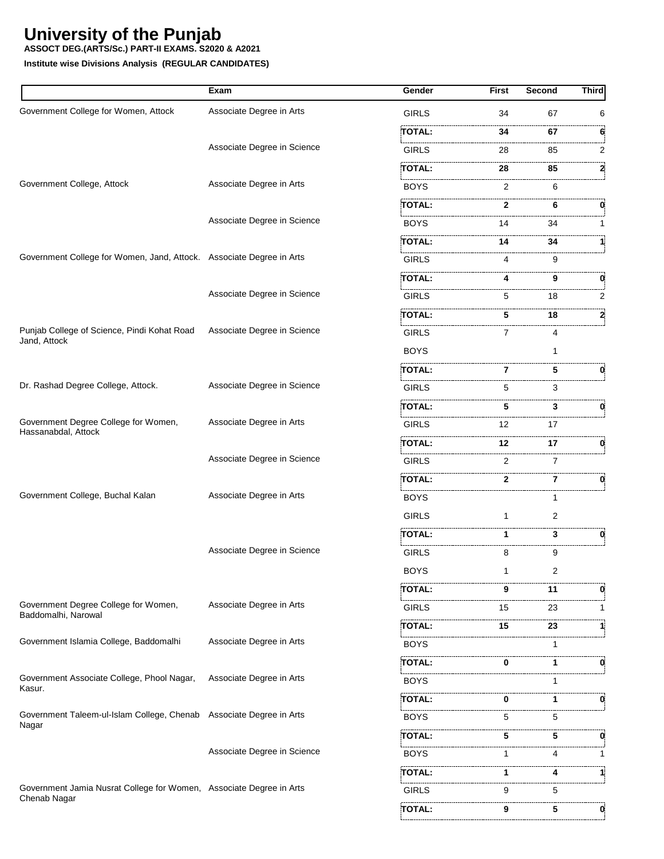**ASSOCT DEG.(ARTS/Sc.) PART-II EXAMS. S2020 & A2021**

|                                                                      | Exam                        | Gender             | <b>First</b> | <b>Second</b> | <b>Third</b> |
|----------------------------------------------------------------------|-----------------------------|--------------------|--------------|---------------|--------------|
| Government College for Women, Attock                                 | Associate Degree in Arts    | <b>GIRLS</b>       | 34           | 67            | 6            |
|                                                                      |                             | TOTAL:             | 34           | 67            | 6            |
|                                                                      | Associate Degree in Science | <b>GIRLS</b>       | 28           | 85            | 2            |
|                                                                      |                             | TOTAL:             | 28           | 85            | 2            |
| Government College, Attock                                           | Associate Degree in Arts    | <b>BOYS</b>        | 2            | 6             |              |
|                                                                      |                             | :TOTAL:            | 2            | 6             | 0            |
|                                                                      | Associate Degree in Science | <b>BOYS</b>        | 14           | 34            | 1            |
|                                                                      |                             | TOTAL:             | 14           | 34            |              |
| Government College for Women, Jand, Attock. Associate Degree in Arts |                             | <b>GIRLS</b>       | 4            | 9             |              |
|                                                                      |                             | .<br><b>TOTAL:</b> | 4            | 9             | 0            |
|                                                                      | Associate Degree in Science | <b>GIRLS</b>       | 5            | 18            | 2            |
|                                                                      |                             | .<br><b>TOTAL:</b> | 5            | 18            | 2            |
| Punjab College of Science, Pindi Kohat Road                          | Associate Degree in Science | <b>GIRLS</b>       | 7            | 4             |              |
| Jand, Attock                                                         |                             | <b>BOYS</b>        |              |               |              |
|                                                                      |                             | <b>TOTAL:</b>      | 7            | 5             |              |
| Dr. Rashad Degree College, Attock.                                   | Associate Degree in Science | <b>GIRLS</b>       | 5            | 3             |              |
|                                                                      |                             | TOTAL:             | 5            | 3             | 0            |
| Government Degree College for Women,<br>Hassanabdal, Attock          | Associate Degree in Arts    | <b>GIRLS</b>       | 12           | 17            |              |
|                                                                      |                             | TOTAL:             | 12           | 17            | 0            |
|                                                                      | Associate Degree in Science | <b>GIRLS</b>       | 2            | 7             |              |
|                                                                      |                             | TOTAL:             | 2            | 7             | 0            |
| Government College, Buchal Kalan                                     | Associate Degree in Arts    | <b>BOYS</b>        |              | 1             |              |
|                                                                      |                             | <b>GIRLS</b>       | 1            | 2             |              |
|                                                                      |                             | <b>TOTAL:</b>      | 1            | 3             | 0            |
|                                                                      | Associate Degree in Science | <b>GIRLS</b>       | 8            | 9             |              |
|                                                                      |                             | <b>BOYS</b>        |              | 2             |              |
|                                                                      |                             | TOTAL:             | 9            | 11            | 0            |
| Government Degree College for Women,<br>Baddomalhi, Narowal          | Associate Degree in Arts    | GIRLS              | 15           | 23            | 1            |
|                                                                      |                             | <b>TOTAL:</b>      | 15           | 23            |              |
| Government Islamia College, Baddomalhi                               | Associate Degree in Arts    | <b>BOYS</b>        |              |               |              |
|                                                                      |                             | TOTAL:             | 0            | 1             | 0            |
| Government Associate College, Phool Nagar,                           | Associate Degree in Arts    | <b>BOYS</b>        |              |               |              |
| Kasur.                                                               |                             | TOTAL:             | 0            | 1             | 0            |
| Government Taleem-ul-Islam College, Chenab Associate Degree in Arts  |                             | <b>BOYS</b>        | 5            | 5             |              |
| Nagar                                                                |                             | TOTAL:             | 5            | 5             | 0            |
|                                                                      | Associate Degree in Science | <b>BOYS</b>        | 1            | 4             |              |
|                                                                      |                             | TOTAL:             | 1            | 4             |              |
| Government Jamia Nusrat College for Women, Associate Degree in Arts  |                             | <b>GIRLS</b>       | 9            | 5             |              |
| Chenab Nagar                                                         |                             | TOTAL:             | 9            | 5             | 0            |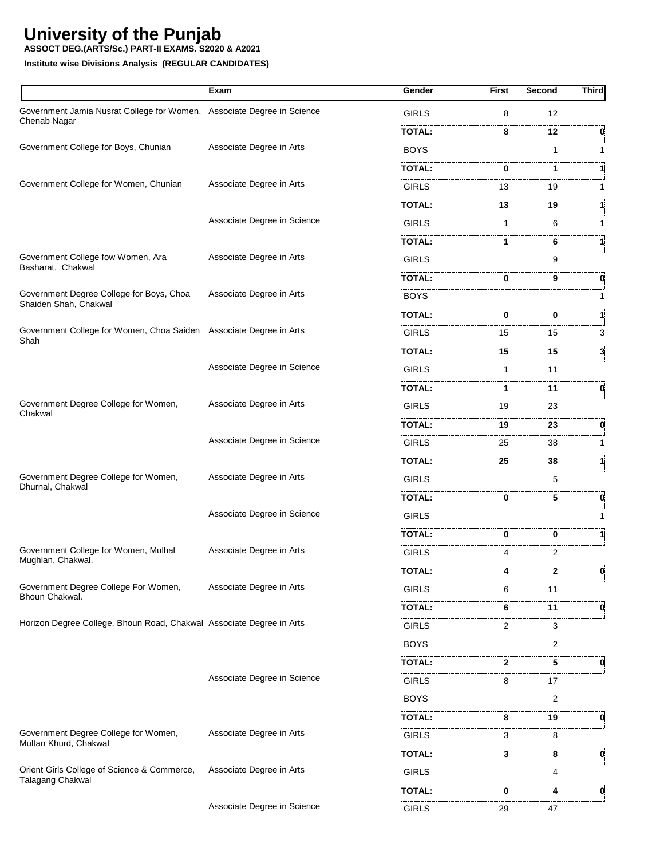**ASSOCT DEG.(ARTS/Sc.) PART-II EXAMS. S2020 & A2021**

|                                                                                        | Exam                        | Gender        | <b>First</b> | Second | <b>Third</b> |
|----------------------------------------------------------------------------------------|-----------------------------|---------------|--------------|--------|--------------|
| Government Jamia Nusrat College for Women, Associate Degree in Science<br>Chenab Nagar |                             | <b>GIRLS</b>  | 8            | 12     |              |
|                                                                                        |                             | TOTAL:        | 8            | 12     | 0            |
| Government College for Boys, Chunian                                                   | Associate Degree in Arts    | <b>BOYS</b>   |              | 1      | 1            |
|                                                                                        |                             | TOTAL:        | 0            | 1      |              |
| Government College for Women, Chunian                                                  | Associate Degree in Arts    | <b>GIRLS</b>  | 13           | 19     | 1            |
|                                                                                        |                             | <b>TOTAL:</b> | 13           | 19     |              |
|                                                                                        | Associate Degree in Science | GIRLS         | 1            | 6      | 1            |
|                                                                                        |                             | <b>TOTAL:</b> | 1            | 6      | 1            |
| Government College fow Women, Ara<br>Basharat, Chakwal                                 | Associate Degree in Arts    | <b>GIRLS</b>  |              | 9      |              |
|                                                                                        |                             | TOTAL:        | 0            | 9      | 0            |
| Government Degree College for Boys, Choa<br>Shaiden Shah, Chakwal                      | Associate Degree in Arts    | <b>BOYS</b>   |              |        |              |
|                                                                                        |                             | TOTAL:        | 0            | 0      |              |
| Government College for Women, Choa Saiden Associate Degree in Arts<br>Shah             |                             | <b>GIRLS</b>  | 15           | 15     | 3            |
|                                                                                        |                             | <b>TOTAL:</b> | 15           | 15     | 3            |
|                                                                                        | Associate Degree in Science | <b>GIRLS</b>  | 1            | 11     |              |
|                                                                                        |                             | TOTAL:        | 1.           | 11     | 0            |
| Government Degree College for Women,<br>Chakwal                                        | Associate Degree in Arts    | <b>GIRLS</b>  | 19           | 23     |              |
|                                                                                        |                             | TOTAL:        | 19           | 23     | 0            |
|                                                                                        | Associate Degree in Science | <b>GIRLS</b>  | 25           | 38     | 1            |
|                                                                                        |                             | <b>TOTAL:</b> | 25           | 38     |              |
| Government Degree College for Women,                                                   | Associate Degree in Arts    | <b>GIRLS</b>  |              | 5      |              |
| Dhurnal, Chakwal                                                                       |                             | TOTAL:        | 0            | 5      | 0            |
|                                                                                        | Associate Degree in Science | <b>GIRLS</b>  |              |        |              |
|                                                                                        |                             | <b>TOTAL:</b> | 0            | 0      | 11           |
| Government College for Women, Mulhal                                                   | Associate Degree in Arts    | <b>GIRLS</b>  | 4            | 2      |              |
| Mughlan, Chakwal.                                                                      |                             | TOTAL:        | 4            | 2      | 0            |
| Government Degree College For Women,                                                   | Associate Degree in Arts    | <b>GIRLS</b>  | 6            | 11     |              |
| Bhoun Chakwal.                                                                         |                             | TOTAL:        | 6            | 11     | 0            |
| Horizon Degree College, Bhoun Road, Chakwal Associate Degree in Arts                   |                             | <b>GIRLS</b>  | 2            | 3      |              |
|                                                                                        |                             | <b>BOYS</b>   |              | 2      |              |
|                                                                                        |                             | <b>TOTAL:</b> | 2            | 5      | 0            |
|                                                                                        | Associate Degree in Science | <b>GIRLS</b>  | 8            | 17     |              |
|                                                                                        |                             | <b>BOYS</b>   |              | 2      |              |
|                                                                                        |                             | TOTAL:        | 8            | 19     | 0            |
| Government Degree College for Women,                                                   | Associate Degree in Arts    | <b>GIRLS</b>  | 3            | 8      |              |
| Multan Khurd, Chakwal                                                                  |                             | TOTAL:        | 3            | 8      | 0            |
| Orient Girls College of Science & Commerce,                                            | Associate Degree in Arts    | <b>GIRLS</b>  |              | 4      |              |
| Talagang Chakwal                                                                       |                             | .<br>TOTAL:   | 0            | 4      | 0            |
|                                                                                        | Associate Degree in Science | <b>GIRLS</b>  | 29           | 47     |              |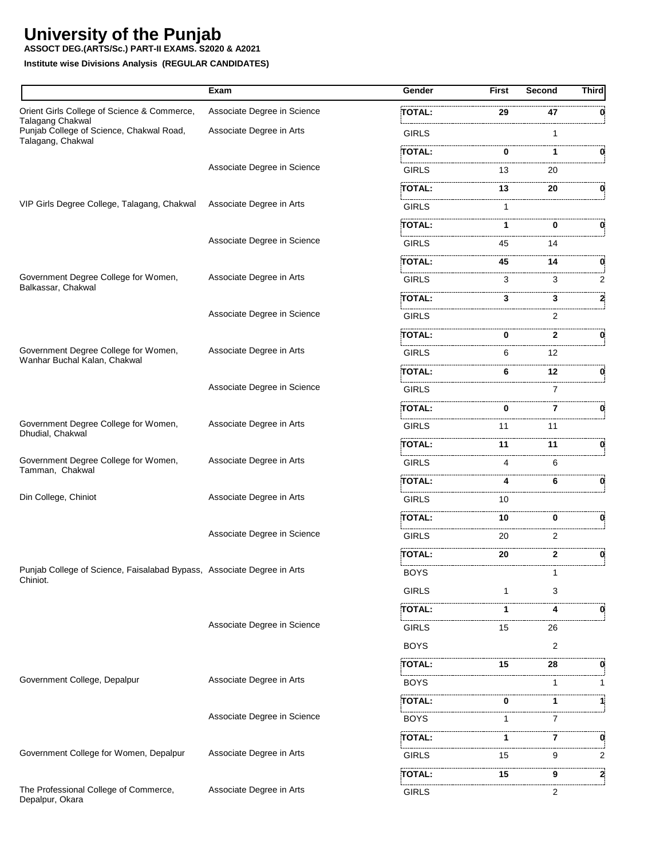**ASSOCT DEG.(ARTS/Sc.) PART-II EXAMS. S2020 & A2021**

|                                                                                    | Exam                        | Gender        | First    | Second | <b>Third</b> |
|------------------------------------------------------------------------------------|-----------------------------|---------------|----------|--------|--------------|
| Orient Girls College of Science & Commerce,                                        | Associate Degree in Science | TOTAL:        | 29       | 47     |              |
| <b>Talagang Chakwal</b><br>Punjab College of Science, Chakwal Road,                | Associate Degree in Arts    | <b>GIRLS</b>  |          | 1      |              |
| Talagang, Chakwal                                                                  |                             | TOTAL:        | 0        | 1      | 0            |
|                                                                                    | Associate Degree in Science | <b>GIRLS</b>  | 13       | 20     |              |
|                                                                                    |                             | <b>TOTAL:</b> | 13       | <br>20 | 0            |
| VIP Girls Degree College, Talagang, Chakwal                                        | Associate Degree in Arts    | <b>GIRLS</b>  | 1        |        |              |
|                                                                                    |                             | TOTAL:        | 1        | 0      | 0            |
|                                                                                    | Associate Degree in Science | <b>GIRLS</b>  | 45       | 14     |              |
|                                                                                    |                             | TOTAL:        | 45       | 14     | 0            |
| Government Degree College for Women,<br>Balkassar, Chakwal                         | Associate Degree in Arts    | <b>GIRLS</b>  | 3        | 3      | 2            |
|                                                                                    |                             | TOTAL:        | 3        | 3      | 2            |
|                                                                                    | Associate Degree in Science | <b>GIRLS</b>  |          | 2      |              |
|                                                                                    |                             | TOTAL:        | 0        | 2      | 0            |
| Government Degree College for Women,<br>Wanhar Buchal Kalan, Chakwal               | Associate Degree in Arts    | <b>GIRLS</b>  | 6        | 12     |              |
|                                                                                    |                             | TOTAL:        | 6        | 12     | 0.           |
|                                                                                    | Associate Degree in Science | <b>GIRLS</b>  |          | 7      |              |
|                                                                                    |                             | TOTAL:        | $\bf{0}$ | 7      |              |
| Government Degree College for Women,<br>Dhudial, Chakwal                           | Associate Degree in Arts    | <b>GIRLS</b>  | 11       | 11     |              |
|                                                                                    |                             | TOTAL:        | 11       | 11     | 0            |
| Government Degree College for Women,<br>Tamman, Chakwal                            | Associate Degree in Arts    | <b>GIRLS</b>  | 4        | 6      |              |
|                                                                                    |                             | TOTAL:        | 4        | 6      | 0            |
| Din College, Chiniot                                                               | Associate Degree in Arts    | <b>GIRLS</b>  | 10       |        |              |
|                                                                                    |                             | TOTAL:        | 10       | 0      | 0            |
|                                                                                    | Associate Degree in Science | <b>GIRLS</b>  | 20       | <br>2  |              |
|                                                                                    |                             | TOTAL:        | 20       | 2      | 0            |
| Punjab College of Science, Faisalabad Bypass, Associate Degree in Arts<br>Chiniot. |                             | <b>BOYS</b>   |          | 1      |              |
|                                                                                    |                             | <b>GIRLS</b>  |          | 3      |              |
|                                                                                    |                             | TOTAL:        | 1        | 4      | 0.           |
|                                                                                    | Associate Degree in Science | <b>GIRLS</b>  | 15       | 26     |              |
|                                                                                    |                             | <b>BOYS</b>   |          | 2      |              |
|                                                                                    |                             | TOTAL:        | 15       | 28     |              |
| Government College, Depalpur                                                       | Associate Degree in Arts    | BOYS          |          | 1      | 1            |
|                                                                                    |                             | TOTAL:        | 0        | 1      | 1            |
|                                                                                    | Associate Degree in Science | <b>BOYS</b>   |          | 7      |              |
|                                                                                    |                             | TOTAL:        | 1        | 7      | 0            |
| Government College for Women, Depalpur                                             | Associate Degree in Arts    | <b>GIRLS</b>  | 15       | <br>9  | 2            |
|                                                                                    |                             | TOTAL:        | 15       | 9      | 2            |
| The Professional College of Commerce,<br>Depalpur, Okara                           | Associate Degree in Arts    | <b>GIRLS</b>  |          | 2      |              |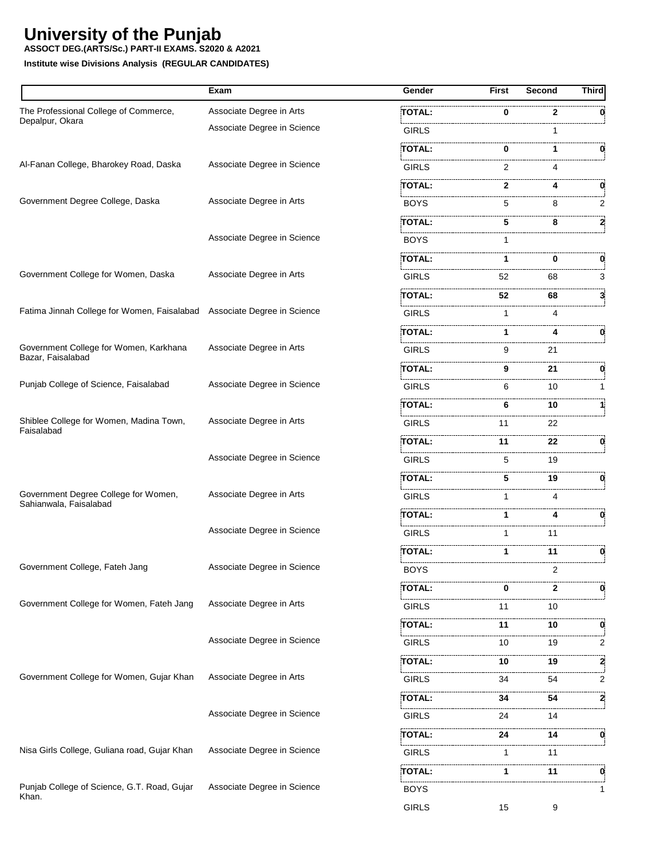#### **ASSOCT DEG.(ARTS/Sc.) PART-II EXAMS. S2020 & A2021**

|                                                                         | Exam                        | Gender        | First        | Second       | <b>Third</b> |
|-------------------------------------------------------------------------|-----------------------------|---------------|--------------|--------------|--------------|
| The Professional College of Commerce,                                   | Associate Degree in Arts    | <b>TOTAL:</b> | 0            | $\mathbf{2}$ | 0            |
| Depalpur, Okara                                                         | Associate Degree in Science | <b>GIRLS</b>  |              |              |              |
|                                                                         |                             | TOTAL:        | 0            | 1.           | 0            |
| Al-Fanan College, Bharokey Road, Daska                                  | Associate Degree in Science | <b>GIRLS</b>  | 2            | 4            |              |
|                                                                         |                             | TOTAL:        | $\mathbf{2}$ | 4            | 0            |
| Government Degree College, Daska                                        | Associate Degree in Arts    | <b>BOYS</b>   | 5            | 8            | 2            |
|                                                                         |                             | TOTAL:        | 5            | 8            |              |
|                                                                         | Associate Degree in Science | <b>BOYS</b>   | 1            |              |              |
|                                                                         |                             | TOTAL:        | 1.           | 0            | 0            |
| Government College for Women, Daska                                     | Associate Degree in Arts    | <b>GIRLS</b>  | 52           | 68           | 3            |
|                                                                         |                             | TOTAL:        | 52.          | 68           | 3.           |
| Fatima Jinnah College for Women, Faisalabad Associate Degree in Science |                             | <b>GIRLS</b>  | $\mathbf 1$  | 4            |              |
|                                                                         |                             | TOTAL:        | 1            | 4            |              |
| Government College for Women, Karkhana<br>Bazar, Faisalabad             | Associate Degree in Arts    | <b>GIRLS</b>  | 9            | 21           |              |
|                                                                         |                             | TOTAL:        | 9            | 21           | 0            |
| Punjab College of Science, Faisalabad                                   | Associate Degree in Science | <b>GIRLS</b>  | 6            | 10           | 1            |
|                                                                         |                             | TOTAL:        | 6            | 10           | 11           |
| Shiblee College for Women, Madina Town,<br>Faisalabad                   | Associate Degree in Arts    | <b>GIRLS</b>  | 11           | 22           |              |
|                                                                         |                             | TOTAL:        | 11           | 22           | 0            |
|                                                                         | Associate Degree in Science | <b>GIRLS</b>  | 5            | 19           |              |
|                                                                         |                             | TOTAL:        | 5.           | 19           | 0.           |
| Government Degree College for Women,<br>Sahianwala, Faisalabad          | Associate Degree in Arts    | <b>GIRLS</b>  | 1            | 4            |              |
|                                                                         |                             | <b>TOTAL:</b> | 1            | 4            | 0.           |
|                                                                         | Associate Degree in Science | <b>GIRLS</b>  | 1            | 11           |              |
|                                                                         |                             | TOTAL:        | 1            | 11           | 0            |
| Government College, Fateh Jang                                          | Associate Degree in Science | <b>BOYS</b>   |              |              |              |
|                                                                         |                             | TOTAL:        | 0            | 2            | 0            |
| Government College for Women, Fateh Jang                                | Associate Degree in Arts    | <b>GIRLS</b>  | 11           | 10           |              |
|                                                                         |                             | <b>TOTAL:</b> | 11           | 10           | 0            |
|                                                                         | Associate Degree in Science | <b>GIRLS</b>  | 10           | 19           | 2            |
|                                                                         |                             | TOTAL:        | 10           | 19           | 2            |
| Government College for Women, Gujar Khan                                | Associate Degree in Arts    | <b>GIRLS</b>  | 34           | 54           | 2            |
|                                                                         |                             | TOTAL:        | 34           | 54           | 2            |
|                                                                         | Associate Degree in Science | <b>GIRLS</b>  | 24           | 14           |              |
|                                                                         |                             | TOTAL:        | 24           | 14           | 0            |
| Nisa Girls College, Guliana road, Gujar Khan                            | Associate Degree in Science | <b>GIRLS</b>  | 1            | 11           |              |
|                                                                         |                             | TOTAL:        | 1            | 11           | 0            |
| Punjab College of Science, G.T. Road, Gujar<br>Khan.                    | Associate Degree in Science | <b>BOYS</b>   |              |              |              |
|                                                                         |                             | <b>GIRLS</b>  | 15           | 9            |              |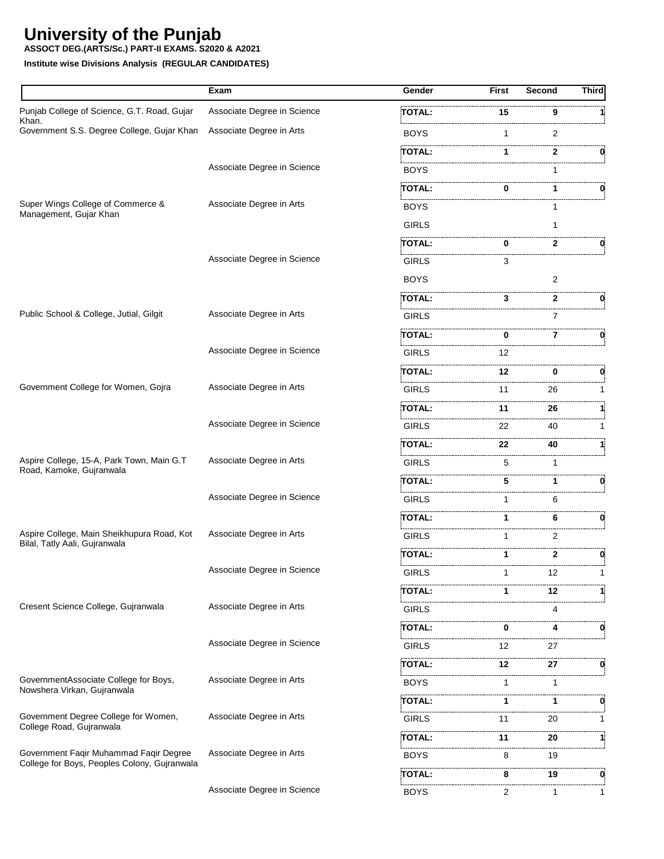**ASSOCT DEG.(ARTS/Sc.) PART-II EXAMS. S2020 & A2021**

|                                                                                        | Exam                        | Gender            | <b>First</b> | <b>Second</b> | <b>Third</b> |
|----------------------------------------------------------------------------------------|-----------------------------|-------------------|--------------|---------------|--------------|
| Punjab College of Science, G.T. Road, Gujar                                            | Associate Degree in Science | <b>TOTAL:</b>     | 15           | 9             |              |
| Khan.<br>Government S.S. Degree College, Gujar Khan                                    | Associate Degree in Arts    | BOYS              | 1            | 2             |              |
|                                                                                        |                             | TOTAL:            | 1            | 2             | 0            |
|                                                                                        | Associate Degree in Science | <b>BOYS</b>       |              | 1             |              |
|                                                                                        |                             | TOTAL:            | 0            |               | 0            |
| Super Wings College of Commerce &<br>Management, Gujar Khan                            | Associate Degree in Arts    | BOYS              |              |               |              |
|                                                                                        |                             | <b>GIRLS</b>      |              | 1             |              |
|                                                                                        |                             | <br>TOTAL:        | 0            | 2             |              |
|                                                                                        | Associate Degree in Science | GIRLS             | 3            |               |              |
|                                                                                        |                             | <b>BOYS</b>       |              | 2             |              |
|                                                                                        |                             | TOTAL:            | 3            | 2             |              |
| Public School & College, Jutial, Gilgit                                                | Associate Degree in Arts    | .<br><b>GIRLS</b> |              | 7             |              |
|                                                                                        |                             | TOTAL:            | 0            | 7             | 0            |
|                                                                                        | Associate Degree in Science | GIRLS             | 12           |               |              |
|                                                                                        |                             | TOTAL:            | 12           | 0             | 0            |
| Government College for Women, Gojra                                                    | Associate Degree in Arts    | <b>GIRLS</b>      | 11           | 26            |              |
|                                                                                        |                             | TOTAL:            | 11           | 26            |              |
|                                                                                        | Associate Degree in Science | GIRLS             | 22           | <br>40        |              |
|                                                                                        |                             | TOTAL:            | 22           | 40            |              |
| Aspire College, 15-A, Park Town, Main G.T<br>Road, Kamoke, Gujranwala                  | Associate Degree in Arts    | <b>GIRLS</b>      | 5            | 1             |              |
|                                                                                        |                             | TOTAL:            | 5            | 1             | 0            |
|                                                                                        | Associate Degree in Science | GIRLS             | 1            | 6             |              |
|                                                                                        |                             | TOTAL:            | 1            | 6             | 0            |
| Aspire College, Main Sheikhupura Road, Kot<br>Bilal, Tatly Aali, Gujranwala            | Associate Degree in Arts    | GIRLS             | 1            | 2             |              |
|                                                                                        |                             | TOTAL:            | 1            | $\mathbf{2}$  | 0            |
|                                                                                        | Associate Degree in Science | <b>GIRLS</b>      | 1            | 12            |              |
|                                                                                        |                             | TOTAL:            | 1            | 12            |              |
| Cresent Science College, Gujranwala                                                    | Associate Degree in Arts    | <b>GIRLS</b>      |              | 4             |              |
|                                                                                        |                             | TOTAL:            | 0            | 4             | 0            |
|                                                                                        | Associate Degree in Science | <b>GIRLS</b>      | 12           | 27            |              |
|                                                                                        |                             | TOTAL:            | 12           | 27            | 0            |
| GovernmentAssociate College for Boys,<br>Nowshera Virkan, Gujranwala                   | Associate Degree in Arts    | <b>BOYS</b>       | 1            | 1             |              |
|                                                                                        |                             | TOTAL:            | 1            | 1             | 0            |
| Government Degree College for Women,<br>College Road, Gujranwala                       | Associate Degree in Arts    | <b>GIRLS</b>      | 11           | 20            |              |
|                                                                                        |                             | TOTAL:            | 11           | 20            |              |
| Government Faqir Muhammad Faqir Degree<br>College for Boys, Peoples Colony, Gujranwala | Associate Degree in Arts    | <b>BOYS</b>       | 8            | 19            |              |
|                                                                                        |                             | TOTAL:            | 8            | 19            | 0            |
|                                                                                        | Associate Degree in Science | <b>BOYS</b>       | 2            | 1             | 1            |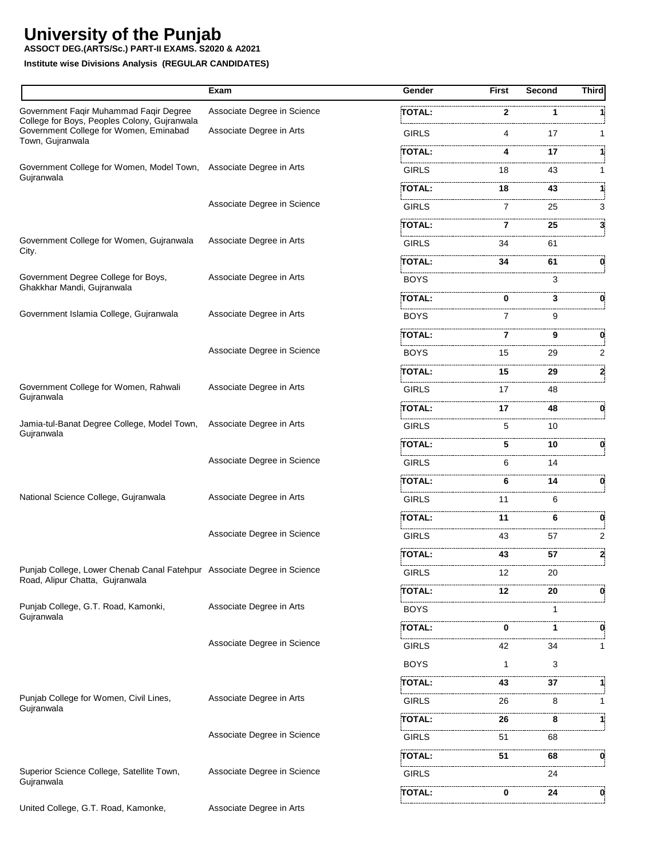**ASSOCT DEG.(ARTS/Sc.) PART-II EXAMS. S2020 & A2021**

|                                                                                                            | Exam                        | Gender        | First          | Second      | Third |
|------------------------------------------------------------------------------------------------------------|-----------------------------|---------------|----------------|-------------|-------|
| Government Faqir Muhammad Faqir Degree                                                                     | Associate Degree in Science | <b>TOTAL:</b> | 2              | 1           |       |
| College for Boys, Peoples Colony, Gujranwala<br>Government College for Women, Eminabad                     | Associate Degree in Arts    | <b>GIRLS</b>  | 4              | 17          |       |
| Town, Gujranwala                                                                                           |                             | TOTAL:        | 4              | 17          | 1     |
| Government College for Women, Model Town,                                                                  | Associate Degree in Arts    | <b>GIRLS</b>  | 18             | 43          |       |
| Gujranwala                                                                                                 |                             | TOTAL:        | 18             | 43          | 1:    |
|                                                                                                            | Associate Degree in Science | <b>GIRLS</b>  | 7              | 25          | 3     |
|                                                                                                            |                             | TOTAL :       | 7              | 25          | 3     |
| Government College for Women, Gujranwala<br>City.                                                          | Associate Degree in Arts    | <b>GIRLS</b>  | 34             | 61          |       |
|                                                                                                            |                             | TOTAL:        | 34             | 61          | 0     |
| Government Degree College for Boys,<br>Ghakkhar Mandi, Gujranwala                                          | Associate Degree in Arts    | <b>BOYS</b>   |                | 3           |       |
|                                                                                                            |                             | TOTAL:        | 0              | 3           | 0     |
| Government Islamia College, Gujranwala                                                                     | Associate Degree in Arts    | <b>BOYS</b>   | $\overline{7}$ | 9           |       |
|                                                                                                            |                             | TOTAL:        | 7              | 9           | 0     |
|                                                                                                            | Associate Degree in Science | <b>BOYS</b>   | 15             | 29          | 2     |
|                                                                                                            |                             | TOTAL:        | 15             | 29          | 2     |
| Government College for Women, Rahwali<br>Gujranwala                                                        | Associate Degree in Arts    | <b>GIRLS</b>  | 17             | 48          |       |
|                                                                                                            |                             | TOTAL:        | 17             | 48          | 0     |
| Jamia-tul-Banat Degree College, Model Town,<br>Gujranwala                                                  | Associate Degree in Arts    | <b>GIRLS</b>  | 5              | 10          |       |
|                                                                                                            |                             | TOTAL:        | 5              | 10          | 0     |
|                                                                                                            | Associate Degree in Science | <b>GIRLS</b>  | 6              | 14          |       |
|                                                                                                            |                             | TOTAL:        | 6              | 14          | 0     |
| National Science College, Gujranwala                                                                       | Associate Degree in Arts    | <b>GIRLS</b>  | 11             | 6           |       |
|                                                                                                            |                             | TOTAL:        | 11             | 6           | 0     |
|                                                                                                            | Associate Degree in Science | <b>GIRLS</b>  | 43             | 57          | 2     |
|                                                                                                            |                             | TOTAL:        | 43             | 57          | 2     |
| Punjab College, Lower Chenab Canal Fatehpur Associate Degree in Science<br>Road, Alipur Chatta, Gujranwala |                             | <b>GIRLS</b>  | 12             | 20          |       |
|                                                                                                            |                             | TOTAL:        | <br>12         | 20          | 0     |
| Punjab College, G.T. Road, Kamonki,<br>Gujranwala                                                          | Associate Degree in Arts    | <b>BOYS</b>   |                | 1           |       |
|                                                                                                            |                             | TOTAL:        | 0              | $\mathbf 1$ | 0     |
|                                                                                                            | Associate Degree in Science | <b>GIRLS</b>  | 42             | 34          | 1.    |
|                                                                                                            |                             | <b>BOYS</b>   | 1              | 3           |       |
|                                                                                                            |                             | TOTAL:        | 43             | 37          | 11    |
| Punjab College for Women, Civil Lines,                                                                     | Associate Degree in Arts    | <b>GIRLS</b>  | 26             | 8           | 1     |
| Gujranwala                                                                                                 |                             | TOTAL:        | 26             | 8           | 11    |
|                                                                                                            | Associate Degree in Science | GIRLS         | 51             | 68          |       |
|                                                                                                            |                             | TOTAL:        | 51             | 68          | 0     |
| Superior Science College, Satellite Town,                                                                  | Associate Degree in Science | GIRLS         |                | 24          |       |
| Gujranwala                                                                                                 |                             | TOTAL:        | 0              | 24          | 0     |
| United College, G.T. Road, Kamonke,                                                                        | Associate Degree in Arts    |               |                |             |       |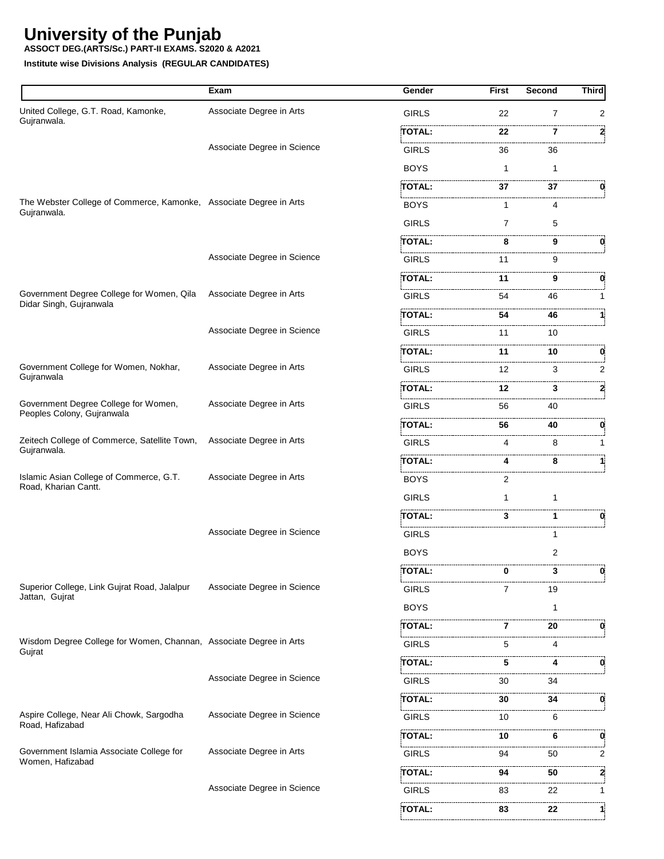**ASSOCT DEG.(ARTS/Sc.) PART-II EXAMS. S2020 & A2021**

|                                                                                   | Exam                        | Gender                                                                                                                     | First | Second         | <b>Third</b>   |
|-----------------------------------------------------------------------------------|-----------------------------|----------------------------------------------------------------------------------------------------------------------------|-------|----------------|----------------|
| United College, G.T. Road, Kamonke,                                               | Associate Degree in Arts    | <b>GIRLS</b>                                                                                                               | 22    | $\overline{7}$ | $\overline{2}$ |
| Gujranwala.                                                                       |                             | TOTAL:                                                                                                                     | 22    | 7              | 2              |
|                                                                                   | Associate Degree in Science | <b>GIRLS</b>                                                                                                               | 36    | 36             |                |
|                                                                                   |                             | <b>BOYS</b>                                                                                                                | 1     | 1              |                |
|                                                                                   |                             | TOTAL:                                                                                                                     | 37    | 37             | 0              |
| The Webster College of Commerce, Kamonke, Associate Degree in Arts<br>Gujranwala. |                             | <b>BOYS</b>                                                                                                                | 1     | 4              |                |
|                                                                                   |                             | <b>GIRLS</b>                                                                                                               | 7     | 5              |                |
|                                                                                   |                             | TOTAL:                                                                                                                     | 8     | 9              | 0              |
|                                                                                   | Associate Degree in Science | <b>GIRLS</b>                                                                                                               | 11    | 9              |                |
|                                                                                   |                             | TOTAL:                                                                                                                     | 11    | 9              | 0              |
| Government Degree College for Women, Qila                                         | Associate Degree in Arts    | <b>GIRLS</b>                                                                                                               | 54    | 46             |                |
| Didar Singh, Gujranwala                                                           |                             | TOTAL:                                                                                                                     | 54    | 46             |                |
|                                                                                   | Associate Degree in Science | <b>GIRLS</b>                                                                                                               | 11    | 10             |                |
|                                                                                   |                             | TOTAL:                                                                                                                     | 11    | 10             | 0              |
| Government College for Women, Nokhar,                                             | Associate Degree in Arts    | GIRLS                                                                                                                      | 12    | 3              | 2              |
| Gujranwala                                                                        |                             | TOTAL:                                                                                                                     | 12    | 3              | 2              |
| Government Degree College for Women,<br>Peoples Colony, Gujranwala                | Associate Degree in Arts    | <b>GIRLS</b>                                                                                                               | 56    | 40             |                |
|                                                                                   |                             | TOTAL:                                                                                                                     | 56    | 40             | 0              |
| Zeitech College of Commerce, Satellite Town,                                      | Associate Degree in Arts    | <b>GIRLS</b>                                                                                                               | 4     | 8              |                |
| Gujranwala.                                                                       |                             | <b>TOTAL:</b>                                                                                                              | 4     | 8              |                |
| Islamic Asian College of Commerce, G.T.<br>Road, Kharian Cantt.                   | Associate Degree in Arts    | .<br>Literatura internacional de l'antica del contenent de la contenenta del contenent del contenent del contenent<br>BOYS | 2     |                |                |
|                                                                                   |                             | <b>GIRLS</b>                                                                                                               | 1     | 1              |                |
|                                                                                   |                             | TOTAL:                                                                                                                     | 3     | 1              | 0              |
|                                                                                   | Associate Degree in Science | <b>GIRLS</b>                                                                                                               |       | 1              |                |
|                                                                                   |                             | <b>BOYS</b>                                                                                                                |       | 2              |                |
|                                                                                   |                             | TOTAL:                                                                                                                     | 0     | 3              | 0              |
| Superior College, Link Gujrat Road, Jalalpur<br>Jattan, Gujrat                    | Associate Degree in Science | .<br>GIRLS                                                                                                                 | 7     | 19             |                |
|                                                                                   |                             | <b>BOYS</b>                                                                                                                |       | 1              |                |
|                                                                                   |                             | TOTAL:                                                                                                                     | 7     | 20             | 0              |
| Wisdom Degree College for Women, Channan, Associate Degree in Arts<br>Gujrat      |                             | GIRLS                                                                                                                      | 5     | 4              |                |
|                                                                                   |                             | TOTAL:                                                                                                                     | 5     | 4              | 0              |
|                                                                                   | Associate Degree in Science | <b>GIRLS</b>                                                                                                               | 30    | 34             |                |
|                                                                                   |                             | TOTAL:                                                                                                                     | 30    | 34             | 0              |
| Aspire College, Near Ali Chowk, Sargodha<br>Road, Hafizabad                       | Associate Degree in Science | <b>GIRLS</b>                                                                                                               | 10    | 6              |                |
|                                                                                   |                             | TOTAL:                                                                                                                     | 10    | 6              | 0              |
| Government Islamia Associate College for                                          | Associate Degree in Arts    | GIRLS                                                                                                                      | 94    | 50             | 2              |
| Women, Hafizabad                                                                  |                             | TOTAL:                                                                                                                     | 94    | 50             | 2              |
|                                                                                   | Associate Degree in Science | GIRLS                                                                                                                      | 83    | 22             | $\mathbf{1}$   |
|                                                                                   |                             | <b>TOTAL:</b>                                                                                                              | 83    | 22             | 11             |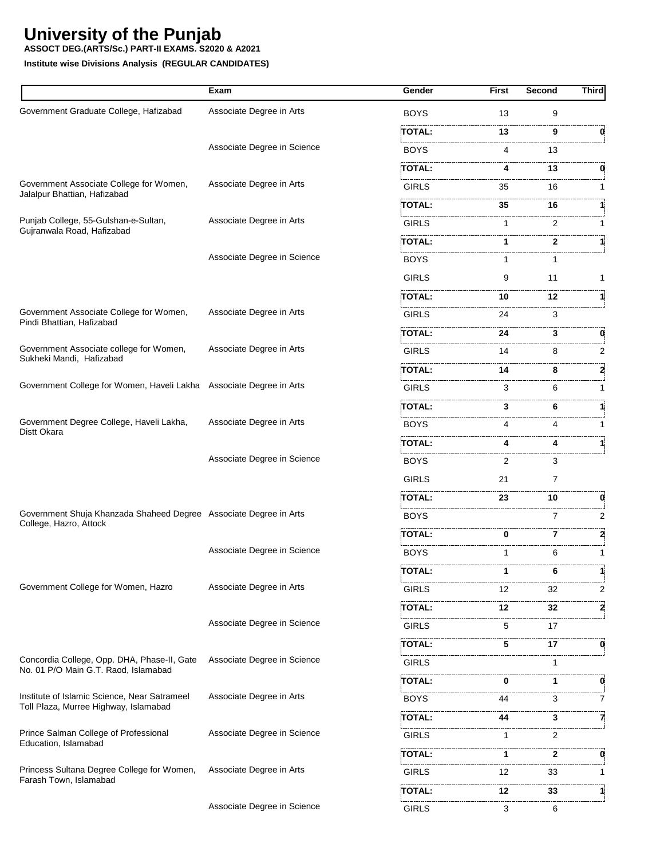**ASSOCT DEG.(ARTS/Sc.) PART-II EXAMS. S2020 & A2021**

|                                                                     | Exam                        | Gender                                                                                                                             | <b>First</b> | <b>Second</b> | <b>Third</b> |
|---------------------------------------------------------------------|-----------------------------|------------------------------------------------------------------------------------------------------------------------------------|--------------|---------------|--------------|
| Government Graduate College, Hafizabad                              | Associate Degree in Arts    | <b>BOYS</b>                                                                                                                        | 13           | 9             |              |
|                                                                     |                             | <b>TOTAL:</b>                                                                                                                      | 13           | 9             | 0            |
|                                                                     | Associate Degree in Science | <b>BOYS</b>                                                                                                                        | 4            | 13            |              |
|                                                                     |                             | TOTAL:                                                                                                                             | 4            | 13            |              |
| Government Associate College for Women,                             | Associate Degree in Arts    | <b>GIRLS</b>                                                                                                                       | 35           | 16            |              |
| Jalalpur Bhattian, Hafizabad                                        |                             | TOTAL:                                                                                                                             | 35           | 16            |              |
| Punjab College, 55-Gulshan-e-Sultan,                                | Associate Degree in Arts    | <b>GIRLS</b>                                                                                                                       | 1            | 2             |              |
| Gujranwala Road, Hafizabad                                          |                             | TOTAL:                                                                                                                             | 1            | $\mathbf{2}$  |              |
|                                                                     | Associate Degree in Science | <b>BOYS</b>                                                                                                                        | 1            |               |              |
|                                                                     |                             | <b>GIRLS</b>                                                                                                                       | 9            | 11            | 1            |
|                                                                     |                             | TOTAL:                                                                                                                             | 10           | 12            |              |
| Government Associate College for Women,                             | Associate Degree in Arts    | <b>GIRLS</b>                                                                                                                       | 24           | 3             |              |
| Pindi Bhattian, Hafizabad                                           |                             | <b>TOTAL:</b>                                                                                                                      | 24           | 3             | 0            |
| Government Associate college for Women,                             | Associate Degree in Arts    | <b>GIRLS</b>                                                                                                                       | 14           | 8             | 2            |
| Sukheki Mandi, Hafizabad                                            |                             | TOTAL:                                                                                                                             | 14           | 8             |              |
| Government College for Women, Haveli Lakha Associate Degree in Arts |                             | <b>GIRLS</b>                                                                                                                       | 3            | 6             |              |
|                                                                     |                             | TOTAL:                                                                                                                             | 3            | 6             |              |
| Government Degree College, Haveli Lakha,                            | Associate Degree in Arts    | <b>BOYS</b>                                                                                                                        | 4            | 4             | 1            |
| Distt Okara                                                         |                             | TOTAL:                                                                                                                             | 4            | 4             | 11           |
|                                                                     | Associate Degree in Science | <b>BOYS</b>                                                                                                                        | 2            | 3             |              |
|                                                                     |                             | <b>GIRLS</b>                                                                                                                       | 21           | 7             |              |
|                                                                     |                             | <b>TOTAL:</b>                                                                                                                      | 23           | 10            | 0            |
| Government Shuja Khanzada Shaheed Degree Associate Degree in Arts   |                             | <b>BOYS</b>                                                                                                                        |              | 7             | 2            |
| College, Hazro, Attock                                              |                             | TOTAL:                                                                                                                             | 0            | 7             | 2            |
|                                                                     | Associate Degree in Science | <b>BOYS</b>                                                                                                                        | 1            | 6             |              |
|                                                                     |                             | TOTAL:                                                                                                                             |              | 6             |              |
| Government College for Women, Hazro                                 | Associate Degree in Arts    | <b>GIRLS</b>                                                                                                                       | 12           | 32            | 2            |
|                                                                     |                             | TOTAL:                                                                                                                             | 12           | 32            | 2            |
|                                                                     | Associate Degree in Science | <b>GIRLS</b>                                                                                                                       | 5            | 17            |              |
|                                                                     |                             | TOTAL:                                                                                                                             | 5            | 17            | 0            |
| Concordia College, Opp. DHA, Phase-II, Gate                         | Associate Degree in Science | .<br>Liitti oli 2000 liitti oli 2000 liitti oli 2000 liitti oli 2000 liitti oli 2000 liitti oli 2000 liitti oli 20<br><b>GIRLS</b> |              |               |              |
| No. 01 P/O Main G.T. Raod, Islamabad                                |                             | TOTAL:                                                                                                                             | 0            | 1             | 0            |
| Institute of Islamic Science, Near Satrameel                        | Associate Degree in Arts    | <b>BOYS</b>                                                                                                                        | 44           | 3             | 7            |
| Toll Plaza, Murree Highway, Islamabad                               |                             | TOTAL:                                                                                                                             | 44           | 3             | 7            |
| Prince Salman College of Professional                               | Associate Degree in Science | <b>GIRLS</b>                                                                                                                       | 1            | 2             |              |
| Education, Islamabad                                                |                             | TOTAL:                                                                                                                             | 1            | $\mathbf{2}$  | 0            |
| Princess Sultana Degree College for Women,                          | Associate Degree in Arts    | <b>GIRLS</b>                                                                                                                       | 12           | 33            | 1            |
| Farash Town, Islamabad                                              |                             | TOTAL:                                                                                                                             | 12           | 33            | 1            |
|                                                                     | Associate Degree in Science | <b>GIRLS</b>                                                                                                                       | 3            | 6             |              |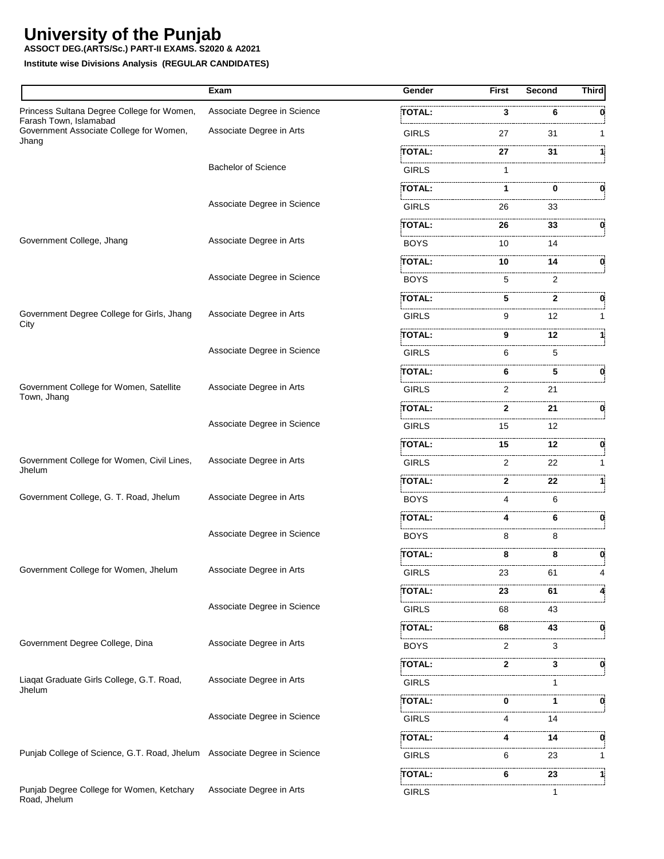**ASSOCT DEG.(ARTS/Sc.) PART-II EXAMS. S2020 & A2021**

|                                                                          | Exam                        | Gender                                     | <b>First</b> | <b>Second</b> | <b>Third</b> |
|--------------------------------------------------------------------------|-----------------------------|--------------------------------------------|--------------|---------------|--------------|
| Princess Sultana Degree College for Women,                               | Associate Degree in Science | <b>TOTAL:</b>                              | 3            | 6             |              |
| Farash Town, Islamabad<br>Government Associate College for Women,        | Associate Degree in Arts    | the company of the company<br><b>GIRLS</b> | 27           | 31            | 1            |
| Jhang                                                                    |                             | TOTAL:                                     | 27           | 31            |              |
|                                                                          | <b>Bachelor of Science</b>  | <b>GIRLS</b>                               | 1            |               |              |
|                                                                          |                             | TOTAL:                                     | 1            | 0             |              |
|                                                                          | Associate Degree in Science | GIRLS                                      | 26           | 33            |              |
|                                                                          |                             | TOTAL:                                     | 26           | 33            | 0            |
| Government College, Jhang                                                | Associate Degree in Arts    | <b>BOYS</b>                                | 10           | 14            |              |
|                                                                          |                             | TOTAL:                                     | 10           | 14            | 0.           |
|                                                                          | Associate Degree in Science | <b>BOYS</b>                                | 5            | 2             |              |
|                                                                          |                             | TOTAL:                                     | 5            | $\mathbf{2}$  |              |
| Government Degree College for Girls, Jhang                               | Associate Degree in Arts    | <b>GIRLS</b>                               | 9            | 12            | 1            |
| City                                                                     |                             | TOTAL:                                     | 9            | 12            |              |
|                                                                          | Associate Degree in Science | <b>GIRLS</b>                               | 6            | 5             |              |
|                                                                          |                             | TOTAL:                                     | 6            | 5             | 0            |
| Government College for Women, Satellite<br>Town, Jhang                   | Associate Degree in Arts    | <b>GIRLS</b>                               | 2            | 21            |              |
|                                                                          |                             | TOTAL:                                     | $\mathbf{2}$ | 21            | 0.           |
|                                                                          | Associate Degree in Science | <b>GIRLS</b>                               | 15           | 12            |              |
|                                                                          |                             | TOTAL:                                     | 15           | 12            |              |
| Government College for Women, Civil Lines,<br>Jhelum                     | Associate Degree in Arts    | <b>GIRLS</b>                               | 2            | 22            | 1            |
|                                                                          |                             | TOTAL:                                     | 2            | 22            | 1            |
| Government College, G. T. Road, Jhelum                                   | Associate Degree in Arts    | <b>BOYS</b>                                | 4            | 6             |              |
|                                                                          |                             | TOTAL:                                     | 4            | 6             | 0            |
|                                                                          | Associate Degree in Science | <b>BOYS</b>                                | 8            | 8             |              |
|                                                                          |                             | TOTAL:                                     | 8            | 8             | 0            |
| Government College for Women, Jhelum                                     | Associate Degree in Arts    | <b>GIRLS</b>                               | 23           | 61            | 4            |
|                                                                          |                             | TOTAL:                                     | 23           | 61            |              |
|                                                                          | Associate Degree in Science | GIRLS                                      | 68           | .<br>43       |              |
|                                                                          |                             | <br>TOTAL:                                 | 68           | 43            | 0            |
| Government Degree College, Dina                                          | Associate Degree in Arts    | <b>BOYS</b>                                | 2            | 3             |              |
|                                                                          |                             | TOTAL:                                     | 2            | 3             | 0            |
| Liaqat Graduate Girls College, G.T. Road,<br>Jhelum                      | Associate Degree in Arts    | <b>GIRLS</b>                               |              |               |              |
|                                                                          |                             | TOTAL:                                     | 0            | 1             | 0            |
|                                                                          | Associate Degree in Science | GIRLS                                      | 4            | 14            |              |
|                                                                          |                             | TOTAL:                                     | 4            | 14            | 0            |
| Punjab College of Science, G.T. Road, Jhelum Associate Degree in Science |                             | <b>GIRLS</b>                               | 6            | 23            | 1            |
|                                                                          |                             | TOTAL:                                     | 6            | 23            | 11           |
| Punjab Degree College for Women, Ketchary<br>Road, Jhelum                | Associate Degree in Arts    | <b>GIRLS</b>                               |              | 1             |              |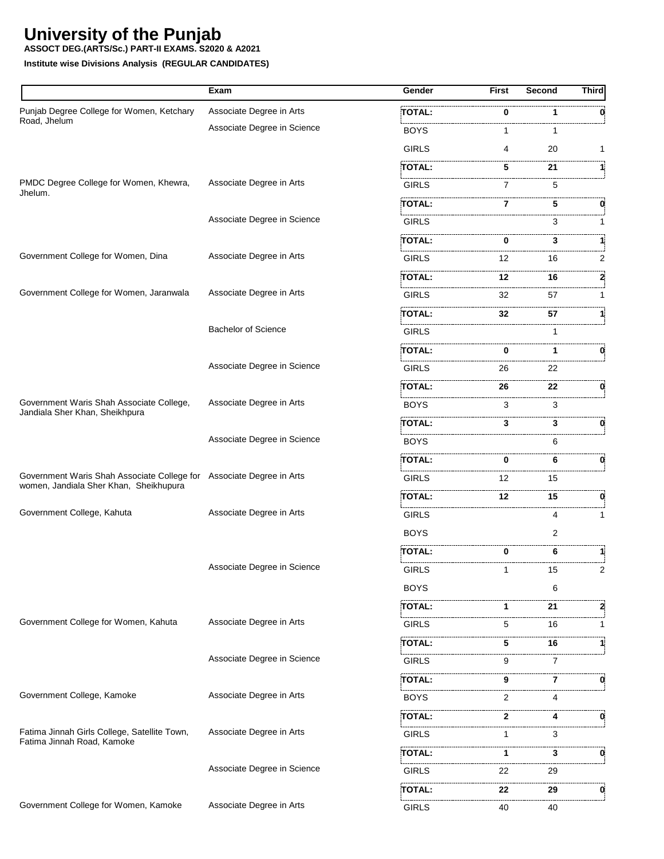**ASSOCT DEG.(ARTS/Sc.) PART-II EXAMS. S2020 & A2021**

|                                                                                                                | Exam                        | Gender        | First          | Second | <b>Third</b> |
|----------------------------------------------------------------------------------------------------------------|-----------------------------|---------------|----------------|--------|--------------|
| Punjab Degree College for Women, Ketchary                                                                      | Associate Degree in Arts    | TOTAL:        | 0              | 1      |              |
| Road, Jhelum                                                                                                   | Associate Degree in Science | BOYS          | 1              | 1      |              |
|                                                                                                                |                             | <b>GIRLS</b>  | 4              | 20     |              |
|                                                                                                                |                             | TOTAL:        | 5              | 21     |              |
| PMDC Degree College for Women, Khewra,<br>Jhelum.                                                              | Associate Degree in Arts    | GIRLS         | 7              | 5      |              |
|                                                                                                                |                             | TOTAL:        | 7              | 5      | 0            |
|                                                                                                                | Associate Degree in Science | <b>GIRLS</b>  |                | 3      |              |
|                                                                                                                |                             | TOTAL:        | 0              | 3      |              |
| Government College for Women, Dina                                                                             | Associate Degree in Arts    | <b>GIRLS</b>  | 12             | 16     | 2            |
|                                                                                                                |                             | <b>TOTAL:</b> | 12             | 16     |              |
| Government College for Women, Jaranwala                                                                        | Associate Degree in Arts    | <b>GIRLS</b>  | 32             | 57     |              |
|                                                                                                                |                             | TOTAL:        | 32             | 57     |              |
|                                                                                                                | <b>Bachelor of Science</b>  | <b>GIRLS</b>  |                | 1      |              |
|                                                                                                                |                             | <b>TOTAL:</b> | 0              |        | 0            |
|                                                                                                                | Associate Degree in Science | <b>GIRLS</b>  | 26             | 22     |              |
|                                                                                                                |                             | TOTAL:        | 26             | 22     | 0            |
| Government Waris Shah Associate College,<br>Jandiala Sher Khan, Sheikhpura                                     | Associate Degree in Arts    | BOYS          | 3              | 3      |              |
|                                                                                                                |                             | TOTAL:        | 3              | 3      | 0            |
|                                                                                                                | Associate Degree in Science | <b>BOYS</b>   |                | 6      |              |
|                                                                                                                |                             | TOTAL:        | 0              | 6      | 0            |
| Government Waris Shah Associate College for Associate Degree in Arts<br>women, Jandiala Sher Khan, Sheikhupura |                             | <b>GIRLS</b>  | 12             | 15     |              |
|                                                                                                                |                             | TOTAL:        | 12             | 15     | 0            |
| Government College, Kahuta                                                                                     | Associate Degree in Arts    | <b>GIRLS</b>  |                | 4      |              |
|                                                                                                                |                             | <b>BOYS</b>   |                | 2      |              |
|                                                                                                                |                             | TOTAL:        | 0              | 6      |              |
|                                                                                                                | Associate Degree in Science | GIRLS         |                | 15     | 2            |
|                                                                                                                |                             | <b>BOYS</b>   |                | 6      |              |
|                                                                                                                |                             | TOTAL:        | 1              | 21     |              |
| Government College for Women, Kahuta                                                                           | Associate Degree in Arts    | <b>GIRLS</b>  | 5              | 16     |              |
|                                                                                                                |                             | TOTAL:        | 5              | 16     |              |
|                                                                                                                | Associate Degree in Science | <b>GIRLS</b>  | 9              | 7      |              |
|                                                                                                                |                             | TOTAL:        | 9              | 7      | 0            |
| Government College, Kamoke                                                                                     | Associate Degree in Arts    | BOYS          | $\overline{2}$ | 4      |              |
|                                                                                                                |                             | TOTAL:        | 2              | 4      | 0            |
| Fatima Jinnah Girls College, Satellite Town,<br>Fatima Jinnah Road, Kamoke                                     | Associate Degree in Arts    | <b>GIRLS</b>  | 1              | 3      |              |
|                                                                                                                |                             | TOTAL:        | 1              | 3      | 0            |
|                                                                                                                | Associate Degree in Science | GIRLS         | 22             | 29     |              |
|                                                                                                                |                             | TOTAL:        | 22             | 29     | 0            |
| Government College for Women, Kamoke                                                                           | Associate Degree in Arts    | <b>GIRLS</b>  | 40             | 40     |              |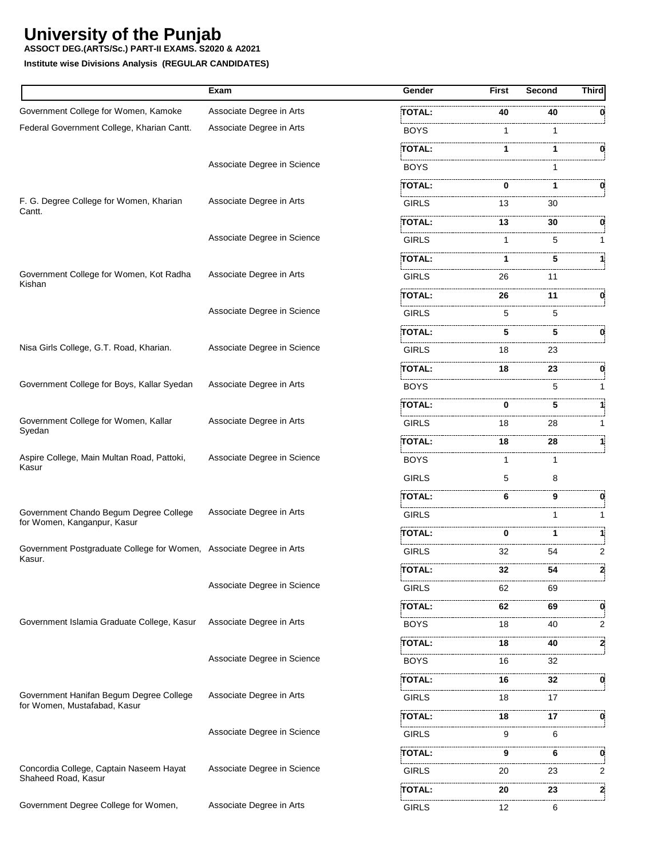**ASSOCT DEG.(ARTS/Sc.) PART-II EXAMS. S2020 & A2021**

|                                                                               | Exam                        | <b>Gender</b> | <b>First</b> | Second | Third          |
|-------------------------------------------------------------------------------|-----------------------------|---------------|--------------|--------|----------------|
| Government College for Women, Kamoke                                          | Associate Degree in Arts    | TOTAL:        | 40           | 40     |                |
| Federal Government College, Kharian Cantt.                                    | Associate Degree in Arts    | <b>BOYS</b>   | 1            | 1      |                |
|                                                                               |                             | TOTAL:        | 1            | 1      | O.             |
|                                                                               | Associate Degree in Science | <b>BOYS</b>   |              |        |                |
|                                                                               |                             | TOTAL:        | 0            | 1      | 0              |
| F. G. Degree College for Women, Kharian<br>Cantt.                             | Associate Degree in Arts    | <b>GIRLS</b>  | 13           | 30     |                |
|                                                                               |                             | TOTAL:        | 13           | 30     | 0              |
|                                                                               | Associate Degree in Science | <b>GIRLS</b>  | 1            | 5      |                |
|                                                                               |                             | TOTAL:        |              | 5      |                |
| Government College for Women, Kot Radha<br>Kishan                             | Associate Degree in Arts    | <b>GIRLS</b>  | 26           | 11     |                |
|                                                                               |                             | TOTAL:        | 26           | 11     | 0              |
|                                                                               | Associate Degree in Science | <b>GIRLS</b>  | 5            | 5      |                |
|                                                                               |                             | <b>TOTAL:</b> | 5            | 5      | 0.             |
| Nisa Girls College, G.T. Road, Kharian.                                       | Associate Degree in Science | <b>GIRLS</b>  | 18           | 23     |                |
|                                                                               |                             | TOTAL:        | 18           | 23     | 0              |
| Government College for Boys, Kallar Syedan                                    | Associate Degree in Arts    | <b>BOYS</b>   |              | 5      |                |
|                                                                               |                             | TOTAL:        | 0            | 5      |                |
| Government College for Women, Kallar                                          | Associate Degree in Arts    | <b>GIRLS</b>  | 18           | 28     |                |
| Syedan                                                                        |                             | TOTAL:        | 18           | 28     |                |
| Aspire College, Main Multan Road, Pattoki,                                    | Associate Degree in Science | <b>BOYS</b>   |              | 1      |                |
| Kasur                                                                         |                             | <b>GIRLS</b>  | 5            | 8      |                |
|                                                                               |                             | TOTAL:        | 6            | 9      | 0              |
| Government Chando Begum Degree College<br>for Women, Kanganpur, Kasur         | Associate Degree in Arts    | <b>GIRLS</b>  |              | 1      |                |
|                                                                               |                             | <b>TOTAL:</b> | 0            | 1.     | 1:             |
| Government Postgraduate College for Women, Associate Degree in Arts<br>Kasur. |                             | <b>GIRLS</b>  | 32           | 54     | $\overline{2}$ |
|                                                                               |                             | TOTAL:        | 32           | 54     | 2              |
|                                                                               | Associate Degree in Science | <b>GIRLS</b>  | 62           | 69     |                |
|                                                                               |                             | TOTAL:        | 62           | 69     | 0              |
| Government Islamia Graduate College, Kasur                                    | Associate Degree in Arts    | <b>BOYS</b>   | 18           | 40     | $\overline{2}$ |
|                                                                               |                             | TOTAL:        | 18           | 40     | 2              |
|                                                                               | Associate Degree in Science | <b>BOYS</b>   | 16           | 32     |                |
|                                                                               |                             | TOTAL:        | 16           | 32     | 0              |
| Government Hanifan Begum Degree College<br>for Women, Mustafabad, Kasur       | Associate Degree in Arts    | <b>GIRLS</b>  | 18           | 17     |                |
|                                                                               |                             | TOTAL:        | 18           | 17     | 0              |
|                                                                               | Associate Degree in Science | <b>GIRLS</b>  | 9            | 6      |                |
|                                                                               |                             | TOTAL:        | 9            | 6      | 0              |
| Concordia College, Captain Naseem Hayat<br>Shaheed Road, Kasur                | Associate Degree in Science | <b>GIRLS</b>  | 20           | 23     | 2              |
|                                                                               |                             | TOTAL:        | 20           | 23     | 2              |
| Government Degree College for Women,                                          | Associate Degree in Arts    | <b>GIRLS</b>  | 12           | <br>6  |                |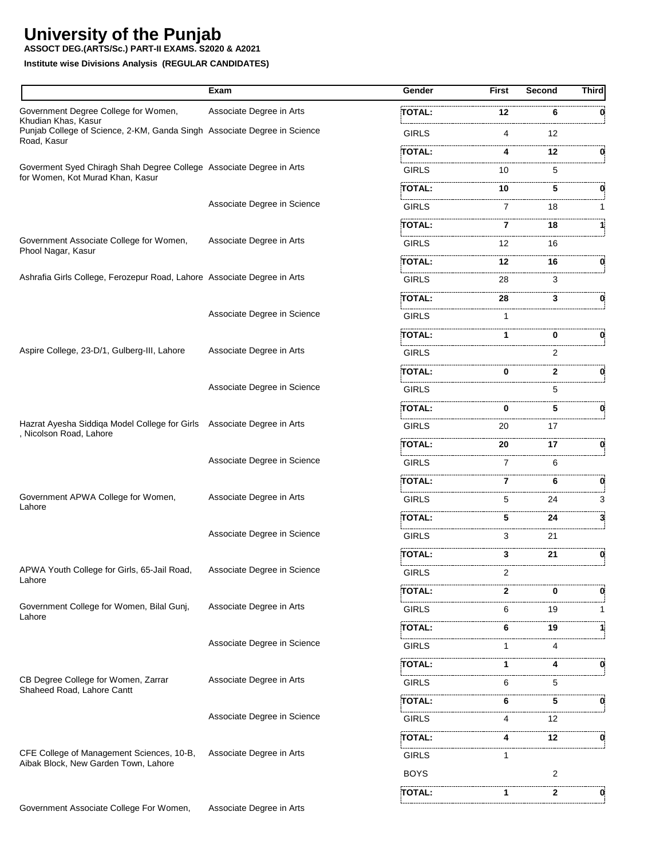**ASSOCT DEG.(ARTS/Sc.) PART-II EXAMS. S2020 & A2021**

|                                                                                                    | Exam                        | Gender        | First | Second       | <b>Third</b> |
|----------------------------------------------------------------------------------------------------|-----------------------------|---------------|-------|--------------|--------------|
| Government Degree College for Women,                                                               | Associate Degree in Arts    | <b>TOTAL:</b> | 12    | 6            | 0            |
| Khudian Khas, Kasur<br>Punjab College of Science, 2-KM, Ganda Singh Associate Degree in Science    |                             | <b>GIRLS</b>  | 4     | 12           |              |
| Road, Kasur                                                                                        |                             | TOTAL:        | 4     | 12           | 0.           |
| Goverment Syed Chiragh Shah Degree College Associate Degree in Arts                                |                             | <b>GIRLS</b>  | 10    | 5            |              |
| for Women, Kot Murad Khan, Kasur                                                                   |                             | TOTAL:        | 10    | 5            | 0            |
|                                                                                                    | Associate Degree in Science | <b>GIRLS</b>  | 7     | 18           |              |
|                                                                                                    |                             | TOTAL:        | 7     | 18           |              |
| Government Associate College for Women,<br>Phool Nagar, Kasur                                      | Associate Degree in Arts    | <b>GIRLS</b>  | 12    | 16           |              |
|                                                                                                    |                             | TOTAL:        | 12    | 16           | 0            |
| Ashrafia Girls College, Ferozepur Road, Lahore Associate Degree in Arts                            |                             | <b>GIRLS</b>  | 28    | 3            |              |
|                                                                                                    |                             | TOTAL:        | 28    | 3            | 0            |
|                                                                                                    | Associate Degree in Science | <b>GIRLS</b>  | 1     |              |              |
|                                                                                                    |                             | TOTAL:        | 1     | 0            | 0            |
| Aspire College, 23-D/1, Gulberg-III, Lahore                                                        | Associate Degree in Arts    | <b>GIRLS</b>  |       | 2            |              |
|                                                                                                    |                             | <b>TOTAL:</b> | 0     | $\mathbf{2}$ | 0            |
|                                                                                                    | Associate Degree in Science | <b>GIRLS</b>  |       | 5            |              |
|                                                                                                    |                             | TOTAL:        | 0     | 5            | 0            |
| Hazrat Ayesha Siddiqa Model College for Girls  Associate Degree in Arts<br>, Nicolson Road, Lahore |                             | <b>GIRLS</b>  | 20    | 17           |              |
|                                                                                                    |                             | TOTAL:        | 20    | 17           | 0.           |
|                                                                                                    | Associate Degree in Science | <b>GIRLS</b>  | 7     | 6            |              |
|                                                                                                    |                             | TOTAL:        | 7     | 6            | 0            |
| Government APWA College for Women,                                                                 | Associate Degree in Arts    | <b>GIRLS</b>  | 5     | 24           | 3            |
| Lahore                                                                                             |                             | TOTAL:        | 5     | 24           | 3.           |
|                                                                                                    | Associate Degree in Science | <b>GIRLS</b>  | 3     | 21           |              |
|                                                                                                    |                             | <b>TOTAL:</b> | 3     | 21           | 0            |
| APWA Youth College for Girls, 65-Jail Road,                                                        | Associate Degree in Science | <b>GIRLS</b>  | 2     |              |              |
| Lahore                                                                                             |                             | TOTAL:        | 2     | 0            | 0            |
| Government College for Women, Bilal Gunj,                                                          | Associate Degree in Arts    | <b>GIRLS</b>  | 6     | 19           | 1            |
| Lahore                                                                                             |                             | TOTAL:        | 6     | 19           |              |
|                                                                                                    | Associate Degree in Science | <b>GIRLS</b>  | 1     | 4            |              |
|                                                                                                    |                             | TOTAL:        |       | 4            | 0            |
| CB Degree College for Women, Zarrar                                                                | Associate Degree in Arts    | <b>GIRLS</b>  | 6     | 5.           |              |
| Shaheed Road, Lahore Cantt                                                                         |                             | TOTAL:        | 6     | 5            | 0            |
|                                                                                                    | Associate Degree in Science | <b>GIRLS</b>  | 4     | 12           |              |
|                                                                                                    |                             | TOTAL:        |       | 12           | 0            |
| CFE College of Management Sciences, 10-B,                                                          | Associate Degree in Arts    | <b>GIRLS</b>  |       |              |              |
| Aibak Block, New Garden Town, Lahore                                                               |                             | <b>BOYS</b>   |       | 2            |              |
|                                                                                                    |                             | TOTAL:        | 1.    | 2            | 0            |
| Government Associate College For Women,                                                            | Associate Degree in Arts    |               |       |              |              |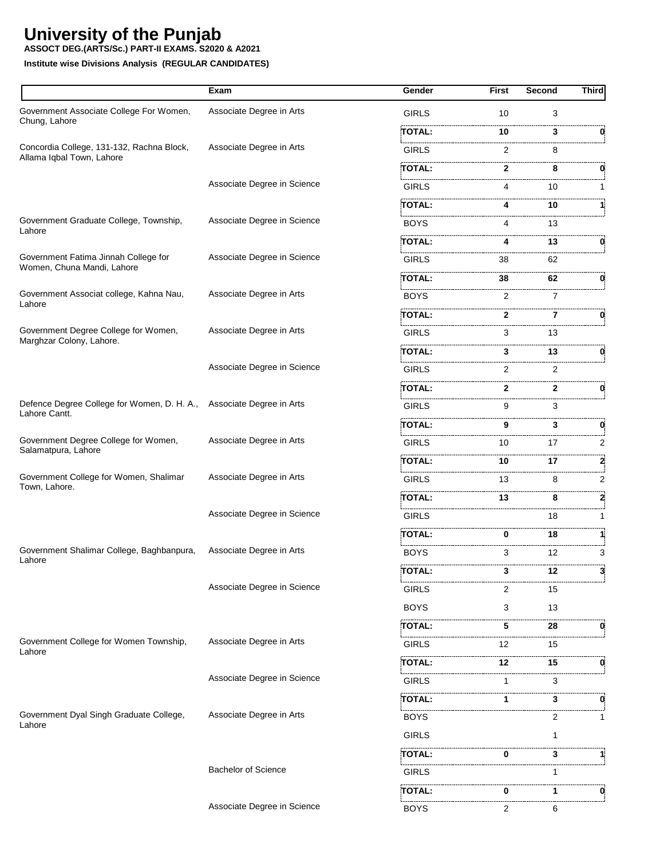**ASSOCT DEG.(ARTS/Sc.) PART-II EXAMS. S2020 & A2021**

|                                                                        | Exam                        | Gender        | <b>First</b> | Second         | <b>Third</b> |
|------------------------------------------------------------------------|-----------------------------|---------------|--------------|----------------|--------------|
| Government Associate College For Women,                                | Associate Degree in Arts    | <b>GIRLS</b>  | 10           | 3              |              |
| Chung, Lahore                                                          |                             | TOTAL:        | 10           | 3              | 0            |
| Concordia College, 131-132, Rachna Block,<br>Allama Iqbal Town, Lahore | Associate Degree in Arts    | <b>GIRLS</b>  | 2            | 8              |              |
|                                                                        |                             | TOTAL:        | 2            | 8              | 0            |
|                                                                        | Associate Degree in Science | <b>GIRLS</b>  | 4            | 10             | 1            |
|                                                                        |                             | <b>TOTAL:</b> | 4            | 10             |              |
| Government Graduate College, Township,<br>Lahore                       | Associate Degree in Science | <b>BOYS</b>   | 4            | 13             |              |
|                                                                        |                             | <b>TOTAL:</b> | 4            | 13             | 0            |
| Government Fatima Jinnah College for<br>Women, Chuna Mandi, Lahore     | Associate Degree in Science | <b>GIRLS</b>  | 38           | 62             |              |
|                                                                        |                             | TOTAL:        | 38           | 62             | 0            |
| Government Associat college, Kahna Nau,<br>Lahore                      | Associate Degree in Arts    | <b>BOYS</b>   | 2            | $\overline{7}$ |              |
|                                                                        |                             | TOTAL:        | $\mathbf{2}$ | 7              | 0            |
| Government Degree College for Women,<br>Marghzar Colony, Lahore.       | Associate Degree in Arts    | <b>GIRLS</b>  | 3            | 13             |              |
|                                                                        |                             | TOTAL:        | 3            | 13             | 0            |
|                                                                        | Associate Degree in Science | <b>GIRLS</b>  | 2            | 2              |              |
|                                                                        |                             | TOTAL:        | $\mathbf{2}$ | 2              | 0            |
| Defence Degree College for Women, D. H. A.,<br>Lahore Cantt.           | Associate Degree in Arts    | <b>GIRLS</b>  | 9            | 3              |              |
|                                                                        |                             | <b>TOTAL:</b> | 9            | 3              | 0            |
| Government Degree College for Women,<br>Salamatpura, Lahore            | Associate Degree in Arts    | <b>GIRLS</b>  | 10           | 17             | 2            |
|                                                                        |                             | <b>TOTAL:</b> | 10           | 17             | 2            |
| Government College for Women, Shalimar<br>Town, Lahore.                | Associate Degree in Arts    | <b>GIRLS</b>  | 13           | 8              | 2            |
|                                                                        |                             | TOTAL:        | 13           | 8              | 2            |
|                                                                        | Associate Degree in Science | <b>GIRLS</b>  |              | 18             | 1            |
|                                                                        |                             | <b>TOTAL:</b> | 0            | 18             | 11           |
| Government Shalimar College, Baghbanpura,<br>Lahore                    | Associate Degree in Arts    | <b>BOYS</b>   | 3            | 12             | 3            |
|                                                                        |                             | TOTAL:        | 3            | 12             | 3            |
|                                                                        | Associate Degree in Science | <b>GIRLS</b>  | 2            | 15             |              |
|                                                                        |                             | <b>BOYS</b>   | 3            | 13             |              |
|                                                                        |                             | TOTAL:        | 5            | 28             | 0            |
| Government College for Women Township,<br>Lahore                       | Associate Degree in Arts    | GIRLS         | 12           | 15             |              |
|                                                                        |                             | TOTAL:        | 12           | 15             | 0            |
|                                                                        | Associate Degree in Science | GIRLS         |              | 3              |              |
|                                                                        |                             | TOTAL:        | 1            | 3              |              |
| Government Dyal Singh Graduate College,<br>Lahore                      | Associate Degree in Arts    | <b>BOYS</b>   |              | 2              | 1            |
|                                                                        |                             | <b>GIRLS</b>  |              |                |              |
|                                                                        |                             | TOTAL:        | 0            | 3              |              |
|                                                                        | <b>Bachelor of Science</b>  | GIRLS         |              |                |              |
|                                                                        |                             | TOTAL:        | 0            | 1              |              |
|                                                                        | Associate Degree in Science | <b>BOYS</b>   | 2            | 6              |              |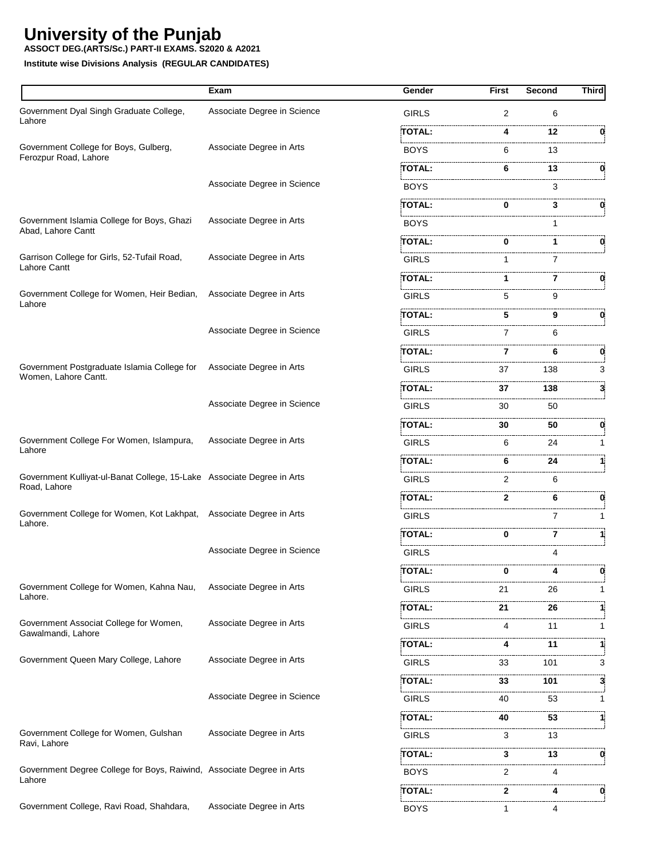**ASSOCT DEG.(ARTS/Sc.) PART-II EXAMS. S2020 & A2021**

|                                                                        | Exam                        | Gender        | <b>First</b>   | Second  | Third |
|------------------------------------------------------------------------|-----------------------------|---------------|----------------|---------|-------|
| Government Dyal Singh Graduate College,<br>Lahore                      | Associate Degree in Science | <b>GIRLS</b>  | $\overline{2}$ | 6       |       |
|                                                                        |                             | <b>TOTAL:</b> | 4              | 12      |       |
| Government College for Boys, Gulberg,                                  | Associate Degree in Arts    | <b>BOYS</b>   | 6              | 13      |       |
| Ferozpur Road, Lahore                                                  |                             | TOTAL:        | 6              | 13      | 0     |
|                                                                        | Associate Degree in Science | <b>BOYS</b>   |                | 3       |       |
|                                                                        |                             | TOTAL:        | 0              | 3       | 0     |
| Government Islamia College for Boys, Ghazi                             | Associate Degree in Arts    | <b>BOYS</b>   |                | 1       |       |
| Abad, Lahore Cantt                                                     |                             | TOTAL:        | 0              | 1       |       |
| Garrison College for Girls, 52-Tufail Road,                            | Associate Degree in Arts    | <b>GIRLS</b>  | 1              | 7       |       |
| Lahore Cantt                                                           |                             | TOTAL:        | 1              | 7       |       |
| Government College for Women, Heir Bedian,                             | Associate Degree in Arts    | <b>GIRLS</b>  | 5              | 9       |       |
| Lahore                                                                 |                             | TOTAL:        | 5              | 9       | 0     |
|                                                                        | Associate Degree in Science | <b>GIRLS</b>  | 7              | 6       |       |
|                                                                        |                             | TOTAL:        | 7              | 6       | 0     |
| Government Postgraduate Islamia College for                            | Associate Degree in Arts    | <b>GIRLS</b>  | 37             | 138     | 3     |
| Women, Lahore Cantt.                                                   |                             | TOTAL:        | 37             | 138     | 3.    |
|                                                                        | Associate Degree in Science | <b>GIRLS</b>  | 30             | 50      |       |
|                                                                        |                             | TOTAL:        | 30             | 50      | 0     |
| Government College For Women, Islampura,<br>Lahore                     | Associate Degree in Arts    | <b>GIRLS</b>  | 6              | 24      | 1     |
|                                                                        |                             | TOTAL:        | 6              | 24      |       |
| Government Kulliyat-ul-Banat College, 15-Lake Associate Degree in Arts |                             | <b>GIRLS</b>  | 2              | 6       |       |
| Road, Lahore                                                           |                             | TOTAL:        | 2              | 6       | 0     |
| Government College for Women, Kot Lakhpat, Associate Degree in Arts    |                             | <b>GIRLS</b>  |                | 7       |       |
| Lahore.                                                                |                             | TOTAL:        | 0              | 7       | 1     |
|                                                                        | Associate Degree in Science | <b>GIRLS</b>  |                | 4       |       |
|                                                                        |                             | <b>TOTAL:</b> | 0              |         |       |
| Government College for Women, Kahna Nau,                               | Associate Degree in Arts    | GIRLS         | 21             | 26      |       |
| Lahore.                                                                |                             | TOTAL:        | 21             | 26      |       |
| Government Associat College for Women,                                 | Associate Degree in Arts    | GIRLS         | 4              | 11      | 1     |
| Gawalmandi, Lahore                                                     |                             | TOTAL:        | 4              | .<br>11 | 1     |
| Government Queen Mary College, Lahore                                  | Associate Degree in Arts    | <b>GIRLS</b>  | 33             | 101     | 3     |
|                                                                        |                             | TOTAL:        | 33             | 101     | 3     |
|                                                                        | Associate Degree in Science | GIRLS         | 40             | 53      | 1     |
|                                                                        |                             | TOTAL:        | 40             | 53      |       |
| Government College for Women, Gulshan                                  | Associate Degree in Arts    | GIRLS         | 3              | 13      |       |
| Ravi, Lahore                                                           |                             | TOTAL:        | 3              | 13      | 0     |
| Government Degree College for Boys, Raiwind, Associate Degree in Arts  |                             | <b>BOYS</b>   | 2              | 4       |       |
| Lahore                                                                 |                             | <br>TOTAL:    | 2              | 4       | 0     |
| Government College, Ravi Road, Shahdara,                               | Associate Degree in Arts    | BOYS          | 1              | 4       |       |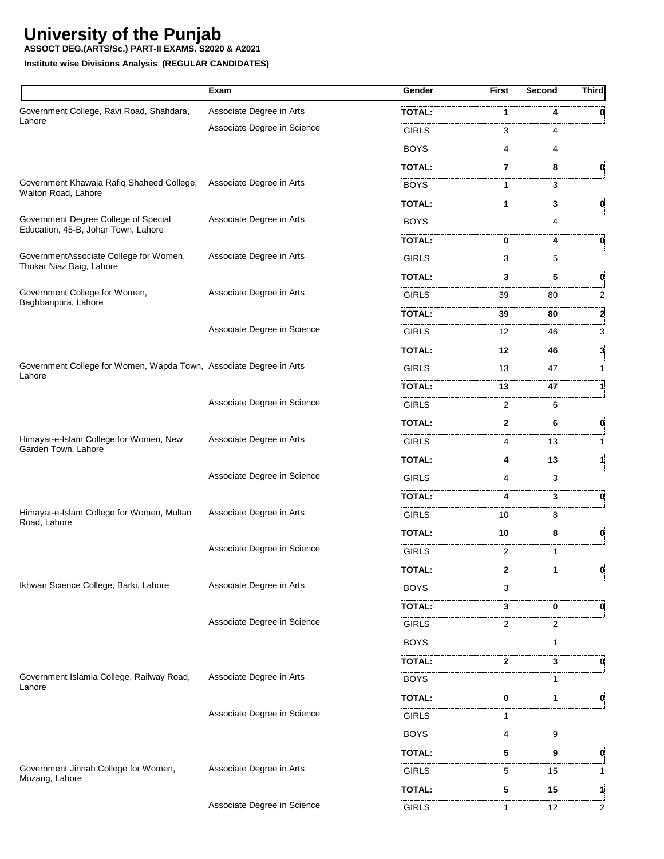**ASSOCT DEG.(ARTS/Sc.) PART-II EXAMS. S2020 & A2021**

|                                                                              | Exam                        | Gender        | <b>First</b>   | Second | <b>Third</b> |
|------------------------------------------------------------------------------|-----------------------------|---------------|----------------|--------|--------------|
| Government College, Ravi Road, Shahdara,                                     | Associate Degree in Arts    | TOTAL:        | 1              |        |              |
| Lahore                                                                       | Associate Degree in Science | <b>GIRLS</b>  | 3              |        |              |
|                                                                              |                             | <b>BOYS</b>   | 4              | 4      |              |
|                                                                              |                             | <b>TOTAL:</b> | 7              | 8      |              |
| Government Khawaja Rafiq Shaheed College,<br>Walton Road, Lahore             | Associate Degree in Arts    | <b>BOYS</b>   | 1              | 3      |              |
|                                                                              |                             | <b>TOTAL:</b> |                | 3      | 0            |
| Government Degree College of Special<br>Education, 45-B, Johar Town, Lahore  | Associate Degree in Arts    | <b>BOYS</b>   |                | 4      |              |
|                                                                              |                             | <b>TOTAL:</b> | 0              | 4      | 0            |
| GovernmentAssociate College for Women,<br>Thokar Niaz Baig, Lahore           | Associate Degree in Arts    | <b>GIRLS</b>  | 3              | 5      |              |
|                                                                              |                             | TOTAL:        | 3              | 5      | 0            |
| Government College for Women,<br>Baghbanpura, Lahore                         | Associate Degree in Arts    | <b>GIRLS</b>  | 39             | 80     | 2            |
|                                                                              |                             | TOTAL:        | 39             | 80     | 2            |
|                                                                              | Associate Degree in Science | <b>GIRLS</b>  | 12             | 46     | 3            |
|                                                                              |                             | <b>TOTAL:</b> | 12             | 46     | 3            |
| Government College for Women, Wapda Town, Associate Degree in Arts<br>Lahore |                             | <b>GIRLS</b>  | 13             | 47     | 1            |
|                                                                              |                             | TOTAL:        | 13             | 47     | 11           |
|                                                                              | Associate Degree in Science | <b>GIRLS</b>  | 2              | 6      |              |
|                                                                              |                             | TOTAL:        | $\mathbf{2}$   | 6      | 0            |
| Himayat-e-Islam College for Women, New                                       | Associate Degree in Arts    | <b>GIRLS</b>  | 4              | 13     | 1            |
| Garden Town, Lahore                                                          |                             | <b>TOTAL:</b> | 4              | 13     |              |
|                                                                              | Associate Degree in Science | <b>GIRLS</b>  | 4              | 3      |              |
|                                                                              |                             | TOTAL:        | 4              | 3      | 0            |
| Himayat-e-Islam College for Women, Multan                                    | Associate Degree in Arts    | <b>GIRLS</b>  | 10             | 8      |              |
| Road, Lahore                                                                 |                             | <b>TOTAL:</b> | 10             | 8      | 0            |
|                                                                              | Associate Degree in Science | <b>GIRLS</b>  | $\overline{2}$ | 1      |              |
|                                                                              |                             | TOTAL:        | 2              |        | 0            |
| Ikhwan Science College, Barki, Lahore                                        | Associate Degree in Arts    | <b>BOYS</b>   | 3              |        |              |
|                                                                              |                             | TOTAL:        | 3              | 0      |              |
|                                                                              | Associate Degree in Science | <b>GIRLS</b>  | 2              | 2      |              |
|                                                                              |                             | <b>BOYS</b>   |                | 1      |              |
|                                                                              |                             | <b>TOTAL:</b> | 2              | 3      | 0            |
| Government Islamia College, Railway Road,                                    | Associate Degree in Arts    | <b>BOYS</b>   |                | 1      |              |
| Lahore                                                                       |                             | TOTAL:        | 0              | 1      |              |
|                                                                              | Associate Degree in Science | <b>GIRLS</b>  |                |        |              |
|                                                                              |                             | <b>BOYS</b>   | 4              | 9      |              |
|                                                                              |                             | TOTAL:        | 5              | 9      | 0            |
| Government Jinnah College for Women,                                         | Associate Degree in Arts    | GIRLS         | 5              | 15     | 1            |
| Mozang, Lahore                                                               |                             | TOTAL:        | 5              | 15     | 1            |
|                                                                              | Associate Degree in Science | <b>GIRLS</b>  | 1              | 12     | 2            |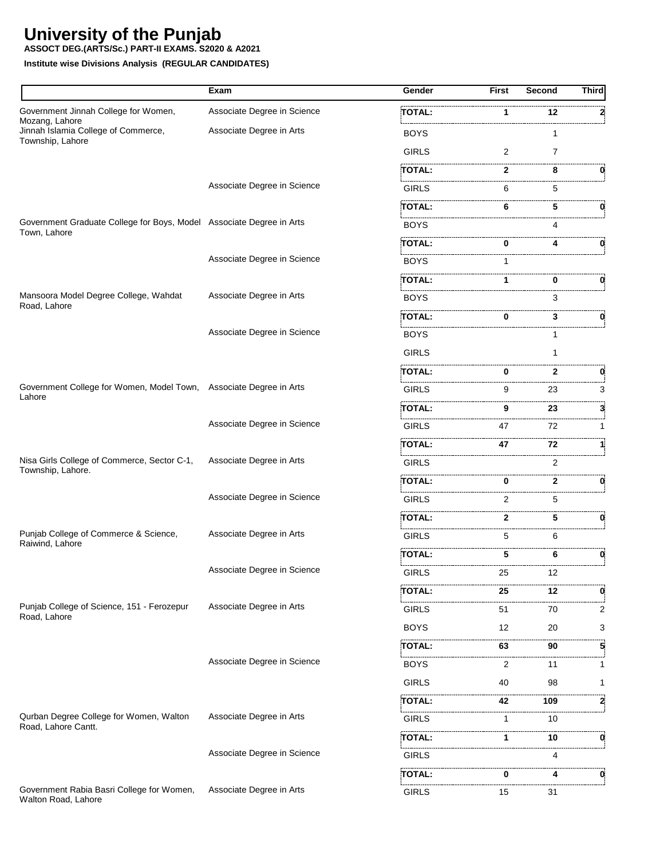**ASSOCT DEG.(ARTS/Sc.) PART-II EXAMS. S2020 & A2021**

|                                                                      | Exam                        | Gender        | <b>First</b> | <b>Second</b>  | <b>Third</b> |
|----------------------------------------------------------------------|-----------------------------|---------------|--------------|----------------|--------------|
| Government Jinnah College for Women,                                 | Associate Degree in Science | TOTAL:        | 1            | 12             |              |
| Mozang, Lahore<br>Jinnah Islamia College of Commerce,                | Associate Degree in Arts    | <b>BOYS</b>   |              | 1              |              |
| Township, Lahore                                                     |                             | <b>GIRLS</b>  | 2            | $\overline{7}$ |              |
|                                                                      |                             | TOTAL:        | 2            | 8              | 0.           |
|                                                                      | Associate Degree in Science | <b>GIRLS</b>  | 6            | 5              |              |
|                                                                      |                             | TOTAL:        | 6            | 5              |              |
| Government Graduate College for Boys, Model Associate Degree in Arts |                             | <b>BOYS</b>   |              | 4              |              |
| Town, Lahore                                                         |                             | TOTAL:        | 0            | 4              | 0.           |
|                                                                      | Associate Degree in Science | <b>BOYS</b>   | 1            |                |              |
|                                                                      |                             | <b>TOTAL:</b> | 1            | 0              | 0            |
| Mansoora Model Degree College, Wahdat                                | Associate Degree in Arts    | <b>BOYS</b>   |              | 3              |              |
| Road, Lahore                                                         |                             | <b>TOTAL:</b> | 0            | 3              | 0            |
|                                                                      | Associate Degree in Science | BOYS          |              |                |              |
|                                                                      |                             | <b>GIRLS</b>  |              | 1              |              |
|                                                                      |                             | TOTAL:        | 0            | 2              | 0            |
| Government College for Women, Model Town, Associate Degree in Arts   |                             | <b>GIRLS</b>  | 9            | 23             | 3            |
| Lahore                                                               |                             | <b>TOTAL:</b> | 9            | 23             | 3            |
|                                                                      | Associate Degree in Science | <b>GIRLS</b>  | 47           | 72             | 1            |
|                                                                      |                             | TOTAL:        | 47           | 72             |              |
| Nisa Girls College of Commerce, Sector C-1,                          | Associate Degree in Arts    | <b>GIRLS</b>  |              | 2              |              |
| Township, Lahore.                                                    |                             | TOTAL:        | 0            | 2              | 0            |
|                                                                      | Associate Degree in Science | <b>GIRLS</b>  | 2            | 5              |              |
|                                                                      |                             | TOTAL:        | 2            | 5              | 0            |
| Punjab College of Commerce & Science,                                | Associate Degree in Arts    | <b>GIRLS</b>  | 5            | 6              |              |
| Raiwind, Lahore                                                      |                             | TOTAL:        | 5            | 6              | 0            |
|                                                                      | Associate Degree in Science | <b>GIRLS</b>  | 25           | 12             |              |
|                                                                      |                             | TOTAL:        | 25           | 12             | 0            |
| Punjab College of Science, 151 - Ferozepur                           | Associate Degree in Arts    | <b>GIRLS</b>  | 51           | .<br>70        | 2            |
| Road, Lahore                                                         |                             | <b>BOYS</b>   | 12           | 20             | 3            |
|                                                                      |                             | TOTAL:        | 63           | 90             | 5            |
|                                                                      | Associate Degree in Science | <b>BOYS</b>   | 2            | 11             | 1            |
|                                                                      |                             | <b>GIRLS</b>  | 40           | 98             | 1            |
|                                                                      |                             | TOTAL:        | 42           | 109            | 2            |
| Qurban Degree College for Women, Walton                              | Associate Degree in Arts    | <b>GIRLS</b>  | 1            | 10             |              |
| Road, Lahore Cantt.                                                  |                             | TOTAL:        | 1            | 10             | 0            |
|                                                                      | Associate Degree in Science | <b>GIRLS</b>  |              | 4              |              |
|                                                                      |                             | TOTAL:        | 0            | 4              | 0            |
| Government Rabia Basri College for Women,<br>Walton Road, Lahore     | Associate Degree in Arts    | <b>GIRLS</b>  | 15           | 31             |              |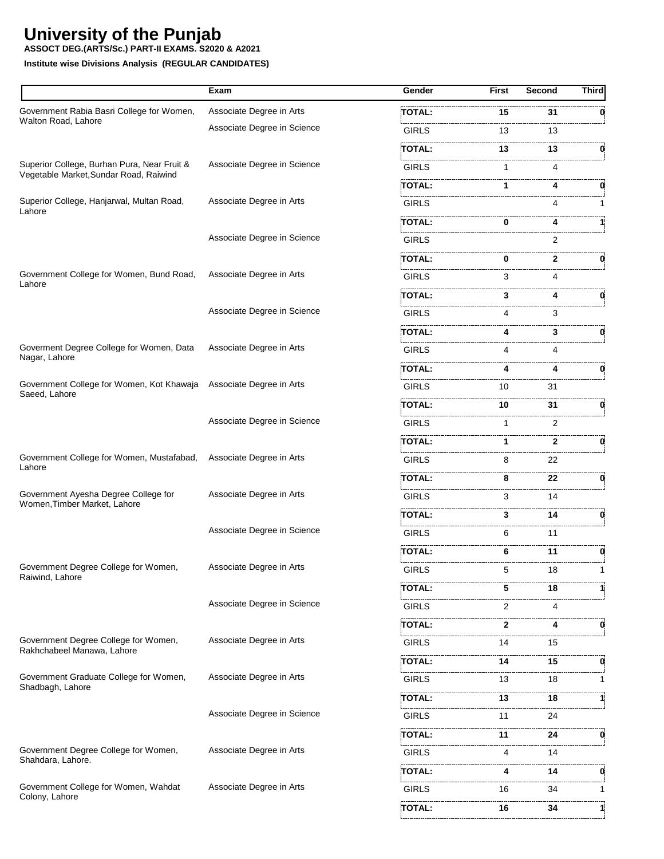**ASSOCT DEG.(ARTS/Sc.) PART-II EXAMS. S2020 & A2021**

|                                                                                       | Exam                        | Gender        | <b>First</b> | Second | <b>Third</b> |
|---------------------------------------------------------------------------------------|-----------------------------|---------------|--------------|--------|--------------|
| Government Rabia Basri College for Women,                                             | Associate Degree in Arts    | TOTAL:        | 15           | 31     | 0            |
| Walton Road, Lahore                                                                   | Associate Degree in Science | <b>GIRLS</b>  | 13           | 13     |              |
|                                                                                       |                             | <b>TOTAL:</b> | 13           | 13     | 0            |
| Superior College, Burhan Pura, Near Fruit &<br>Vegetable Market, Sundar Road, Raiwind | Associate Degree in Science | <b>GIRLS</b>  | 1            | 4      |              |
|                                                                                       |                             | TOTAL:        | 1.           | 4      | 0            |
| Superior College, Hanjarwal, Multan Road,<br>Lahore                                   | Associate Degree in Arts    | <b>GIRLS</b>  |              | 4      |              |
|                                                                                       |                             | TOTAL:        | 0            | 4      |              |
|                                                                                       | Associate Degree in Science | <b>GIRLS</b>  |              |        |              |
|                                                                                       |                             | TOTAL:        | 0            | 2      | 0            |
| Government College for Women, Bund Road,<br>Lahore                                    | Associate Degree in Arts    | <b>GIRLS</b>  | 3            | 4      |              |
|                                                                                       |                             | TOTAL:        | 3            | 4      | 0            |
|                                                                                       | Associate Degree in Science | <b>GIRLS</b>  | 4            | 3      |              |
|                                                                                       |                             | TOTAL:        | 4            | 3      | 0            |
| Goverment Degree College for Women, Data                                              | Associate Degree in Arts    | <b>GIRLS</b>  | 4            | 4      |              |
| Nagar, Lahore                                                                         |                             | TOTAL:        | 4            | 4      | 0            |
| Government College for Women, Kot Khawaja<br>Saeed, Lahore                            | Associate Degree in Arts    | <b>GIRLS</b>  | 10           | 31     |              |
|                                                                                       |                             | TOTAL:        | 10           | 31     | 0            |
|                                                                                       | Associate Degree in Science | <b>GIRLS</b>  | 1            | 2      |              |
|                                                                                       |                             | TOTAL:        | 1            | 2      | 0            |
| Government College for Women, Mustafabad,<br>Lahore                                   | Associate Degree in Arts    | <b>GIRLS</b>  | 8            | 22     |              |
|                                                                                       |                             | TOTAL:        | 8            | 22     | 0            |
| Government Ayesha Degree College for<br>Women, Timber Market, Lahore                  | Associate Degree in Arts    | <b>GIRLS</b>  | 3            | 14     |              |
|                                                                                       |                             | TOTAL:        | 3            | 14     | 0            |
|                                                                                       | Associate Degree in Science | <b>GIRLS</b>  | 6            | 11     |              |
|                                                                                       |                             | TOTAL:        | 6            | 11     | 0            |
| Government Degree College for Women,<br>Raiwind, Lahore                               | Associate Degree in Arts    | <b>GIRLS</b>  | - 5          | 18     |              |
|                                                                                       |                             | TOTAL:        | 5            | 18     |              |
|                                                                                       | Associate Degree in Science | <b>GIRLS</b>  | 2            | .<br>4 |              |
|                                                                                       |                             | TOTAL:        | 2            | 4      | 0            |
| Government Degree College for Women,<br>Rakhchabeel Manawa, Lahore                    | Associate Degree in Arts    | <b>GIRLS</b>  | 14           | 15     |              |
|                                                                                       |                             | TOTAL:        | 14           | 15     | 0            |
| Government Graduate College for Women,<br>Shadbagh, Lahore                            | Associate Degree in Arts    | <b>GIRLS</b>  | 13           | 18     |              |
|                                                                                       |                             | TOTAL:        | 13           | 18     | 1:           |
|                                                                                       | Associate Degree in Science | <b>GIRLS</b>  | 11           | 24     |              |
|                                                                                       |                             | TOTAL:        | 11           | 24     | 0            |
| Government Degree College for Women,<br>Shahdara, Lahore.                             | Associate Degree in Arts    | <b>GIRLS</b>  | 4            | 14     |              |
|                                                                                       |                             | TOTAL:        | 4            | 14     | 0            |
| Government College for Women, Wahdat                                                  | Associate Degree in Arts    | <b>GIRLS</b>  | 16           | 34     | $\mathbf{1}$ |
| Colony, Lahore                                                                        |                             | <b>TOTAL:</b> | 16           | 34     | 11           |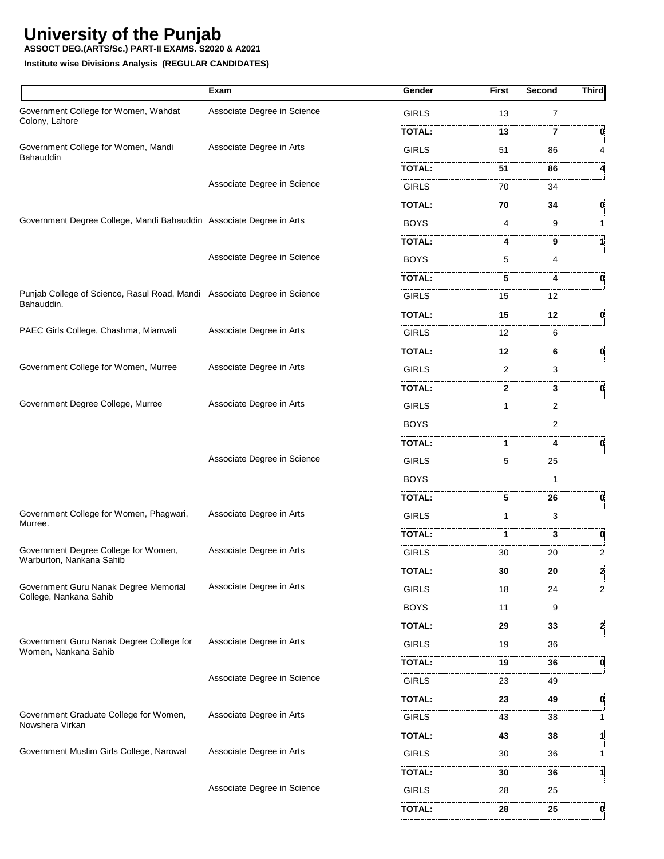**ASSOCT DEG.(ARTS/Sc.) PART-II EXAMS. S2020 & A2021**

|                                                                                        | Exam                        | <b>Gender</b>     | <b>First</b> | Second         | <b>Third</b> |
|----------------------------------------------------------------------------------------|-----------------------------|-------------------|--------------|----------------|--------------|
| Government College for Women, Wahdat                                                   | Associate Degree in Science | GIRLS             | 13           | $\overline{7}$ |              |
| Colony, Lahore                                                                         |                             | TOTAL:            | 13           | 7              |              |
| Government College for Women, Mandi<br>Bahauddin                                       | Associate Degree in Arts    | <b>GIRLS</b>      | 51           | 86             |              |
|                                                                                        |                             | TOTAL:            | 51           | 86             |              |
|                                                                                        | Associate Degree in Science | <b>GIRLS</b>      | 70           | 34             |              |
|                                                                                        |                             | TOTAL:            | 70           | 34             | 0            |
| Government Degree College, Mandi Bahauddin Associate Degree in Arts                    |                             | BOYS              | 4            | 9              |              |
|                                                                                        |                             | TOTAL:            | 4            | 9              |              |
|                                                                                        | Associate Degree in Science | <b>BOYS</b>       | 5            | 4              |              |
|                                                                                        |                             | TOTAL:            | 5            |                | 0            |
| Punjab College of Science, Rasul Road, Mandi Associate Degree in Science<br>Bahauddin. |                             | <b>GIRLS</b>      | 15           | 12             |              |
|                                                                                        |                             | TOTAL:            | 15           | 12             | 0            |
| PAEC Girls College, Chashma, Mianwali                                                  | Associate Degree in Arts    | <b>GIRLS</b>      | 12           | 6              |              |
|                                                                                        |                             | TOTAL:            | 12           | 6              | 0            |
| Government College for Women, Murree                                                   | Associate Degree in Arts    | <b>GIRLS</b>      | 2            | 3              |              |
|                                                                                        |                             | TOTAL:            | 2            | 3              | 0            |
| Government Degree College, Murree                                                      | Associate Degree in Arts    | <b>GIRLS</b>      | 1            | 2              |              |
|                                                                                        |                             | <b>BOYS</b>       |              | 2              |              |
|                                                                                        |                             | TOTAL:            | 1            | 4              | 0            |
|                                                                                        | Associate Degree in Science | <b>GIRLS</b>      | 5            | 25             |              |
|                                                                                        |                             | <b>BOYS</b>       |              |                |              |
|                                                                                        |                             | TOTAL:            | 5            | 26             | 0            |
| Government College for Women, Phagwari,<br>Murree.                                     | Associate Degree in Arts    | <b>GIRLS</b>      |              | 3              |              |
|                                                                                        |                             | TOTAL:            | 1            | 3              | 0            |
| Government Degree College for Women,<br>Warburton, Nankana Sahib                       | Associate Degree in Arts    | <b>GIRLS</b>      | 30           | 20             | 2            |
|                                                                                        |                             | <b>TOTAL:</b>     | 30           | 20             | 2            |
| Government Guru Nanak Degree Memorial<br>College, Nankana Sahib                        | Associate Degree in Arts    | GIRLS             | 18           | 24             | 2            |
|                                                                                        |                             | <b>BOYS</b>       | 11           | 9              |              |
|                                                                                        |                             | <b>TOTAL:</b>     | 29           | 33             | 2            |
| Government Guru Nanak Degree College for<br>Women, Nankana Sahib                       | Associate Degree in Arts    | GIRLS             | 19           | 36             |              |
|                                                                                        |                             | TOTAL:            | 19           | 36             | 0            |
|                                                                                        | Associate Degree in Science | <b>GIRLS</b>      | 23           | 49             |              |
|                                                                                        |                             | TOTAL:            | 23           | .<br>49        | 0            |
| Government Graduate College for Women,<br>Nowshera Virkan                              | Associate Degree in Arts    | <b>GIRLS</b>      | 43           | 38             |              |
|                                                                                        |                             | TOTAL:            | 43           | 38             |              |
| Government Muslim Girls College, Narowal                                               | Associate Degree in Arts    | GIRLS             | 30           | 36             |              |
|                                                                                        |                             | TOTAL:            | 30           | 36             |              |
|                                                                                        | Associate Degree in Science | .<br><b>GIRLS</b> | 28           | 25             |              |
|                                                                                        |                             | TOTAL:            | 28           | 25             | 0            |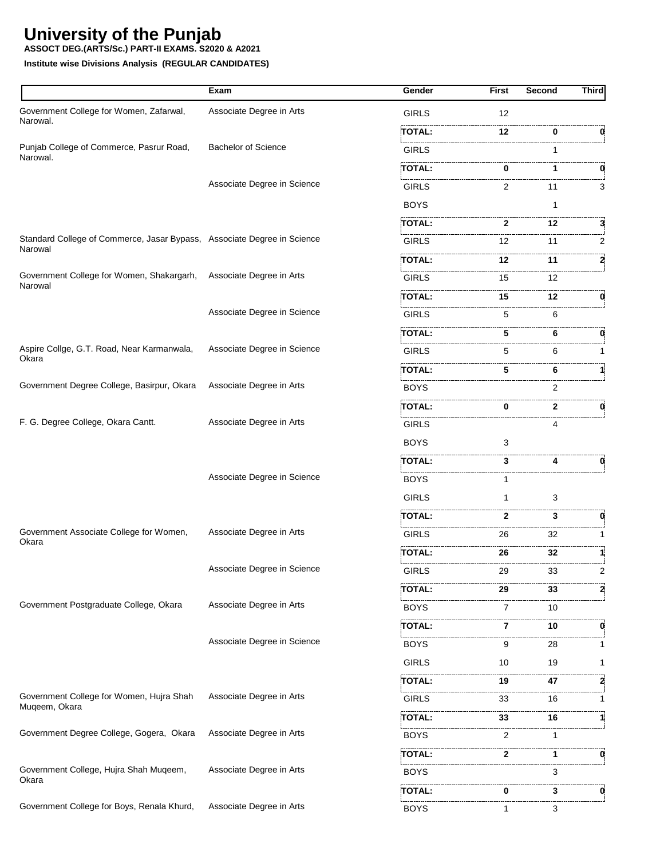**ASSOCT DEG.(ARTS/Sc.) PART-II EXAMS. S2020 & A2021**

|                                                                                    | Exam                        | Gender        | <b>First</b> | Second  | <b>Third</b> |
|------------------------------------------------------------------------------------|-----------------------------|---------------|--------------|---------|--------------|
| Government College for Women, Zafarwal,<br>Narowal.                                | Associate Degree in Arts    | <b>GIRLS</b>  | 12           |         |              |
|                                                                                    |                             | TOTAL:        | 12           | 0       | 0            |
| Punjab College of Commerce, Pasrur Road,<br>Narowal.                               | <b>Bachelor of Science</b>  | <b>GIRLS</b>  |              |         |              |
|                                                                                    |                             | TOTAL:        |              | 1       |              |
|                                                                                    | Associate Degree in Science | <b>GIRLS</b>  | 2            | 11      | 3            |
|                                                                                    |                             | <b>BOYS</b>   |              | 1       |              |
|                                                                                    |                             | TOTAL:        | 2            | 12      | 3.           |
| Standard College of Commerce, Jasar Bypass, Associate Degree in Science<br>Narowal |                             | <b>GIRLS</b>  | 12           | 11      | 2            |
|                                                                                    |                             | TOTAL:        | 12           | 11      | 2            |
| Government College for Women, Shakargarh,<br>Narowal                               | Associate Degree in Arts    | <b>GIRLS</b>  | 15           | .<br>12 |              |
|                                                                                    |                             | TOTAL:        | 15           | 12      | 0            |
|                                                                                    | Associate Degree in Science | <b>GIRLS</b>  | 5            | 6       |              |
|                                                                                    |                             | TOTAL:        | 5            | 6       | 0            |
| Aspire Collge, G.T. Road, Near Karmanwala,                                         | Associate Degree in Science | <b>GIRLS</b>  | 5            | 6       |              |
| Okara                                                                              |                             | TOTAL:        | 5            | 6       |              |
| Government Degree College, Basirpur, Okara                                         | Associate Degree in Arts    | <b>BOYS</b>   |              | 2       |              |
|                                                                                    |                             | TOTAL:        | 0            | 2       | 0            |
| F. G. Degree College, Okara Cantt.                                                 | Associate Degree in Arts    | GIRLS         |              | 4       |              |
|                                                                                    |                             | <b>BOYS</b>   | 3            |         |              |
|                                                                                    |                             | TOTAL:        | 3            | 4       |              |
|                                                                                    | Associate Degree in Science | <b>BOYS</b>   |              |         |              |
|                                                                                    |                             | <b>GIRLS</b>  | 1            | 3       |              |
|                                                                                    |                             | <b>TOTAL:</b> | 2            | 3       | 0            |
| Government Associate College for Women,<br>Okara                                   | Associate Degree in Arts    | <b>GIRLS</b>  | 26           | 32      |              |
|                                                                                    |                             | <b>TOTAL:</b> | 26           | 32      |              |
|                                                                                    | Associate Degree in Science | GIRLS         | 29           | 33      | 2            |
|                                                                                    |                             | :TOTAL:       | 29           | 33      | 2            |
| Government Postgraduate College, Okara                                             | Associate Degree in Arts    | <b>BOYS</b>   | 7            | 10      |              |
|                                                                                    |                             | <b>TOTAL:</b> | 7            | 10      | 0            |
|                                                                                    | Associate Degree in Science | <b>BOYS</b>   | 9            | 28      |              |
|                                                                                    |                             | <b>GIRLS</b>  | 10           | 19      | 1            |
|                                                                                    |                             | TOTAL:        | 19           | 47      | 2            |
| Government College for Women, Hujra Shah                                           | Associate Degree in Arts    | <b>GIRLS</b>  | 33           | 16      |              |
| Muqeem, Okara                                                                      |                             | TOTAL:        | 33           | 16      | 1            |
| Government Degree College, Gogera, Okara                                           | Associate Degree in Arts    | <b>BOYS</b>   | 2            | 1       |              |
|                                                                                    |                             | TOTAL:        | 2            | 1       | 0            |
| Government College, Hujra Shah Muqeem,                                             | Associate Degree in Arts    | <b>BOYS</b>   |              | 3       |              |
| Okara                                                                              |                             | .<br>TOTAL:   | 0            | 3       | 0            |
| Government College for Boys, Renala Khurd,                                         | Associate Degree in Arts    | <b>BOYS</b>   | 1            | 3       |              |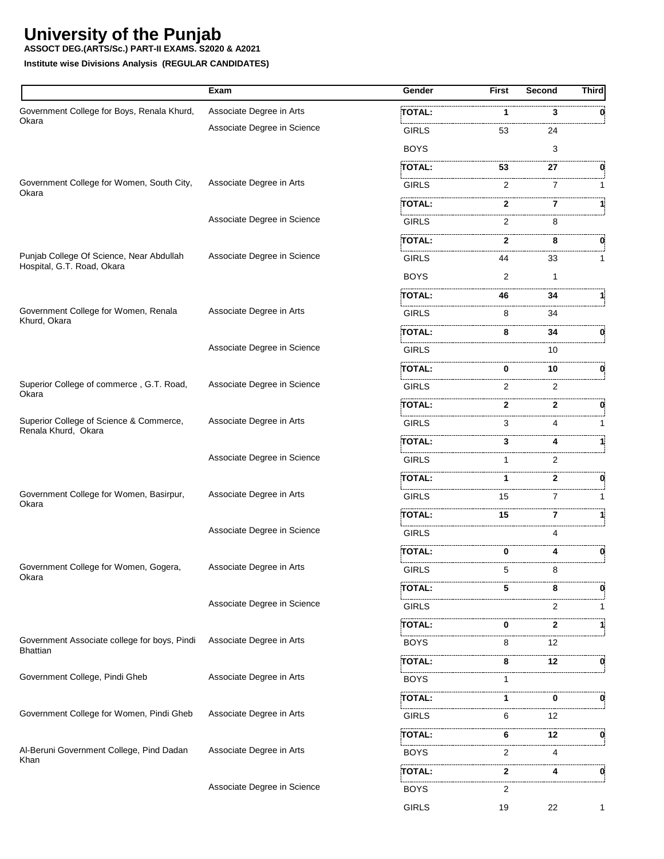**ASSOCT DEG.(ARTS/Sc.) PART-II EXAMS. S2020 & A2021**

|                                                                        | Exam                        | Gender                                                                                                                             | First | Second | <b>Third</b> |
|------------------------------------------------------------------------|-----------------------------|------------------------------------------------------------------------------------------------------------------------------------|-------|--------|--------------|
| Government College for Boys, Renala Khurd,                             | Associate Degree in Arts    | TOTAL:                                                                                                                             | 1     | 3      |              |
| Okara                                                                  | Associate Degree in Science | GIRLS                                                                                                                              | 53    | 24     |              |
|                                                                        |                             | <b>BOYS</b>                                                                                                                        |       | 3      |              |
|                                                                        |                             | TOTAL:                                                                                                                             | 53    | 27     |              |
| Government College for Women, South City,<br>Okara                     | Associate Degree in Arts    | GIRLS                                                                                                                              | 2     | 7      |              |
|                                                                        |                             | TOTAL:                                                                                                                             | 2     | 7      |              |
|                                                                        | Associate Degree in Science | GIRLS                                                                                                                              | 2     | 8      |              |
|                                                                        |                             | <b>TOTAL:</b>                                                                                                                      | 2     | 8      | 0            |
| Punjab College Of Science, Near Abdullah<br>Hospital, G.T. Road, Okara | Associate Degree in Science | <b>GIRLS</b>                                                                                                                       | 44    | 33     |              |
|                                                                        |                             | <b>BOYS</b>                                                                                                                        | 2     | 1      |              |
|                                                                        |                             | TOTAL:                                                                                                                             | 46    | 34     |              |
| Government College for Women, Renala<br>Khurd, Okara                   | Associate Degree in Arts    | <b>GIRLS</b>                                                                                                                       | 8     | 34     |              |
|                                                                        |                             | TOTAL:                                                                                                                             | 8     | 34     | 0            |
|                                                                        | Associate Degree in Science | GIRLS                                                                                                                              |       | 10     |              |
|                                                                        |                             | <b>TOTAL:</b>                                                                                                                      | 0     | 10     | 0            |
| Superior College of commerce, G.T. Road,<br>Okara                      | Associate Degree in Science | .<br>Liitti oli 2000 oli 2000 oli 2000 oli 2000 oli 2000 oli 2000 oli 2000 oli 2000 oli 2000 oli 2000 oli 2000 oli<br><b>GIRLS</b> | 2     | 2      |              |
|                                                                        |                             | TOTAL:                                                                                                                             | 2     | 2      |              |
| Superior College of Science & Commerce,<br>Renala Khurd, Okara         | Associate Degree in Arts    | <b>GIRLS</b>                                                                                                                       | 3     | 4      |              |
|                                                                        |                             | TOTAL:                                                                                                                             | 3     |        |              |
|                                                                        | Associate Degree in Science | <b>GIRLS</b>                                                                                                                       |       | 2      |              |
|                                                                        |                             | TOTAL:                                                                                                                             | 1     | 2      | 0            |
| Government College for Women, Basirpur,<br>Okara                       | Associate Degree in Arts    | <b>GIRLS</b>                                                                                                                       | 15    | 7      |              |
|                                                                        |                             | TOTAL:                                                                                                                             | 15    | 7      |              |
|                                                                        | Associate Degree in Science | <b>GIRLS</b>                                                                                                                       |       | 4      |              |
|                                                                        |                             | <b>TOTAL:</b>                                                                                                                      | 0     | 4      | 0            |
| Government College for Women, Gogera,                                  | Associate Degree in Arts    | GIRLS                                                                                                                              | 5     |        |              |
| Okara                                                                  |                             | TOTAL:                                                                                                                             | 5     | 8      | 0            |
|                                                                        | Associate Degree in Science | <b>GIRLS</b>                                                                                                                       |       | 2      |              |
|                                                                        |                             | TOTAL:                                                                                                                             | 0     | 2      |              |
| Government Associate college for boys, Pindi<br><b>Bhattian</b>        | Associate Degree in Arts    | <b>BOYS</b>                                                                                                                        | 8     | 12     |              |
|                                                                        |                             | TOTAL:                                                                                                                             | 8     | 12     | 0            |
| Government College, Pindi Gheb                                         | Associate Degree in Arts    | <b>BOYS</b>                                                                                                                        |       |        |              |
|                                                                        |                             | TOTAL:                                                                                                                             | 1     | 0      | 0            |
| Government College for Women, Pindi Gheb                               | Associate Degree in Arts    | GIRLS                                                                                                                              | 6     | 12     |              |
|                                                                        |                             | TOTAL:                                                                                                                             | 6     | 12     | 0            |
| Al-Beruni Government College, Pind Dadan                               | Associate Degree in Arts    | <b>BOYS</b>                                                                                                                        | 2     | 4      |              |
| Khan                                                                   |                             | TOTAL:                                                                                                                             | 2     | 4      | 0            |
|                                                                        | Associate Degree in Science | <b>BOYS</b>                                                                                                                        | 2     |        |              |
|                                                                        |                             | <b>GIRLS</b>                                                                                                                       | 19    | 22     | 1            |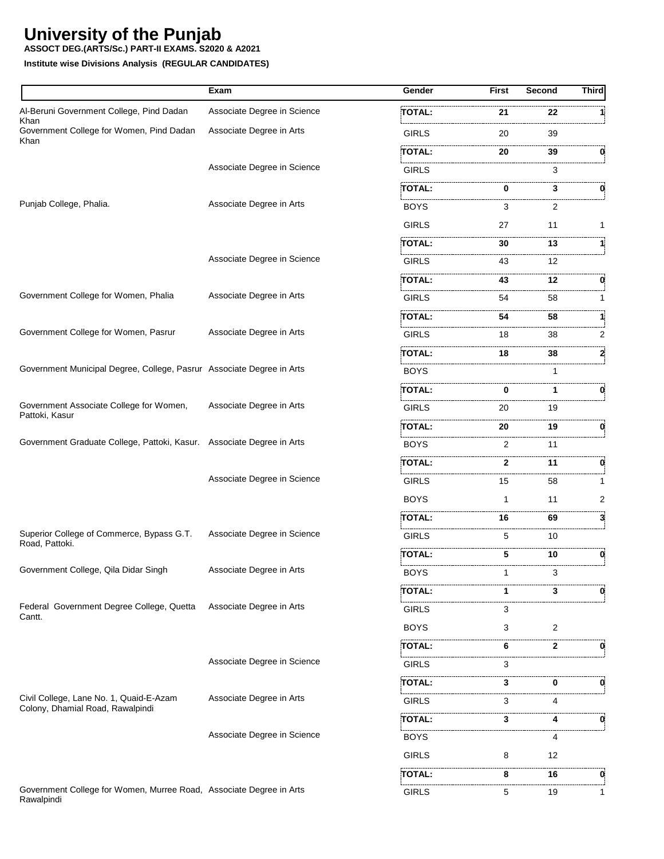**ASSOCT DEG.(ARTS/Sc.) PART-II EXAMS. S2020 & A2021**

|                                                                                   | Exam                        | Gender        | First        | Second       | <b>Third</b> |
|-----------------------------------------------------------------------------------|-----------------------------|---------------|--------------|--------------|--------------|
| Al-Beruni Government College, Pind Dadan                                          | Associate Degree in Science | TOTAL:        | 21           | 22           |              |
| Khan<br>Government College for Women, Pind Dadan<br>Khan                          | Associate Degree in Arts    | <b>GIRLS</b>  | 20           | 39           |              |
|                                                                                   |                             | TOTAL:        | 20           | 39           | 0            |
|                                                                                   | Associate Degree in Science | <b>GIRLS</b>  |              | 3            |              |
|                                                                                   |                             | TOTAL:        | 0            | 3            | 0            |
| Punjab College, Phalia.                                                           | Associate Degree in Arts    | BOYS          | 3            | 2            |              |
|                                                                                   |                             | <b>GIRLS</b>  | 27           | 11           | 1            |
|                                                                                   |                             | TOTAL:        | 30           | 13           |              |
|                                                                                   | Associate Degree in Science | <b>GIRLS</b>  | 43           | 12           |              |
|                                                                                   |                             | TOTAL:        | 43           | 12           | 0            |
| Government College for Women, Phalia                                              | Associate Degree in Arts    | GIRLS         | 54           | 58           |              |
|                                                                                   |                             | TOTAL:        | 54           | 58           |              |
| Government College for Women, Pasrur                                              | Associate Degree in Arts    | <b>GIRLS</b>  | 18           | 38           | 2            |
|                                                                                   |                             | TOTAL:        | 18           | 38           | 2            |
| Government Municipal Degree, College, Pasrur Associate Degree in Arts             |                             | <b>BOYS</b>   |              |              |              |
|                                                                                   |                             | TOTAL:        | 0            | 1            | 0            |
| Government Associate College for Women,                                           | Associate Degree in Arts    | <b>GIRLS</b>  | 20           | 19           |              |
| Pattoki, Kasur                                                                    |                             | TOTAL:        | 20           | 19           | 0            |
| Government Graduate College, Pattoki, Kasur. Associate Degree in Arts             |                             | BOYS          | 2            | 11           |              |
|                                                                                   |                             | <b>TOTAL:</b> | $\mathbf{2}$ | 11           | 0            |
|                                                                                   | Associate Degree in Science | <b>GIRLS</b>  | 15           | 58           |              |
|                                                                                   |                             | <b>BOYS</b>   | $\mathbf 1$  | 11           | 2            |
|                                                                                   |                             | TOTAL:        | 16           | 69           | 3            |
| Superior College of Commerce, Bypass G.T.                                         | Associate Degree in Science | <b>GIRLS</b>  | 5            | 10           |              |
| Road, Pattoki.                                                                    |                             | TOTAL:        | 5            | 10           | 0            |
| Government College, Qila Didar Singh                                              | Associate Degree in Arts    | <b>BOYS</b>   | 1            | 3            |              |
|                                                                                   |                             | TOTAL:        | 1            | 3            | 0            |
| Federal Government Degree College, Quetta                                         | Associate Degree in Arts    | <b>GIRLS</b>  | 3            |              |              |
| Cantt.                                                                            |                             | <b>BOYS</b>   | 3            | 2            |              |
|                                                                                   |                             | TOTAL:        | 6            | $\mathbf{2}$ | 0            |
|                                                                                   | Associate Degree in Science | <b>GIRLS</b>  | 3            |              |              |
|                                                                                   |                             | TOTAL:        | 3            | 0            | 0            |
| Civil College, Lane No. 1, Quaid-E-Azam                                           | Associate Degree in Arts    | <b>GIRLS</b>  | 3            | 4            |              |
| Colony, Dhamial Road, Rawalpindi                                                  |                             | TOTAL:        | 3            | 4            | 0            |
|                                                                                   | Associate Degree in Science | BOYS          |              | 4            |              |
|                                                                                   |                             | <b>GIRLS</b>  | 8            | 12           |              |
|                                                                                   |                             | TOTAL:        | 8            | 16           | 0            |
| Government College for Women, Murree Road, Associate Degree in Arts<br>Rawalpindi |                             | <b>GIRLS</b>  | 5            | 19           | 1            |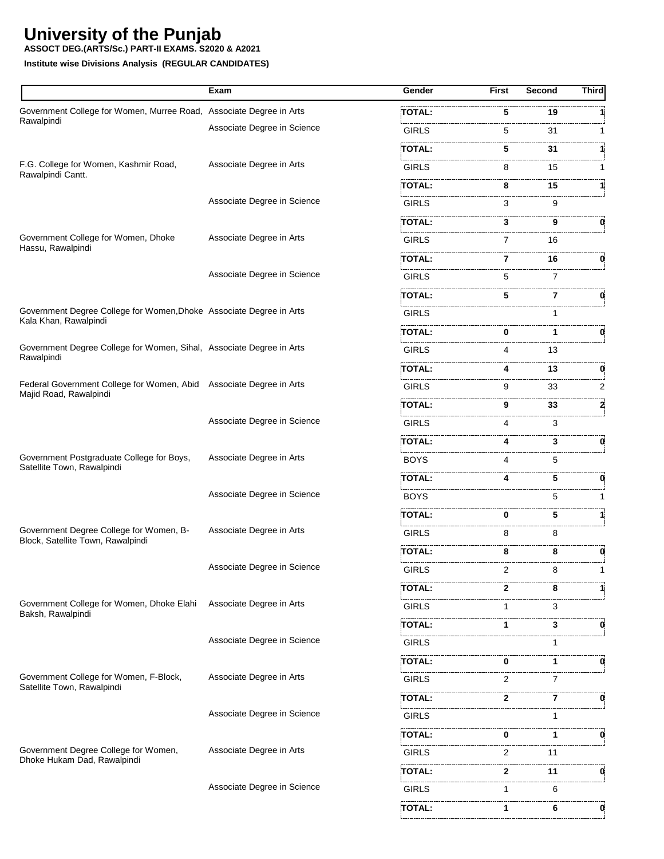**ASSOCT DEG.(ARTS/Sc.) PART-II EXAMS. S2020 & A2021**

|                                                                                               | Exam                        | Gender        | First        | Second              | Third |
|-----------------------------------------------------------------------------------------------|-----------------------------|---------------|--------------|---------------------|-------|
| Government College for Women, Murree Road, Associate Degree in Arts                           |                             | <b>TOTAL:</b> | 5            | 19                  |       |
| Rawalpindi                                                                                    | Associate Degree in Science | <b>GIRLS</b>  | 5            | 31                  | 1     |
|                                                                                               |                             | TOTAL:        | 5            | 31                  | 1     |
| F.G. College for Women, Kashmir Road,                                                         | Associate Degree in Arts    | <b>GIRLS</b>  | 8            | 15                  | 1     |
| Rawalpindi Cantt.                                                                             |                             | TOTAL:        | 8            | 15                  | 1:    |
|                                                                                               | Associate Degree in Science | <b>GIRLS</b>  | 3            | 9                   |       |
|                                                                                               |                             | TOTAL:        | 3            | 9                   | 0     |
| Government College for Women, Dhoke<br>Hassu, Rawalpindi                                      | Associate Degree in Arts    | <b>GIRLS</b>  | 7            | 16                  |       |
|                                                                                               |                             | TOTAL:        | 7            | 16                  | 0     |
|                                                                                               | Associate Degree in Science | <b>GIRLS</b>  | 5            | $\overline{7}$      |       |
|                                                                                               |                             | TOTAL:        | 5.           | 7                   | 0     |
| Government Degree College for Women, Dhoke Associate Degree in Arts<br>Kala Khan, Rawalpindi  |                             | <b>GIRLS</b>  |              | 1                   |       |
|                                                                                               |                             | <b>TOTAL:</b> | 0            | 1                   |       |
| Government Degree College for Women, Sihal, Associate Degree in Arts                          |                             | <b>GIRLS</b>  | 4            | 13                  |       |
| Rawalpindi                                                                                    |                             | TOTAL:        | 4            | 13                  | 0     |
| Federal Government College for Women, Abid Associate Degree in Arts<br>Majid Road, Rawalpindi |                             | <b>GIRLS</b>  | 9            | 33                  | 2     |
|                                                                                               |                             | TOTAL:        | 9            | 33                  | 2     |
|                                                                                               | Associate Degree in Science | <b>GIRLS</b>  | 4            | 3                   |       |
|                                                                                               |                             | TOTAL:        | 4            | 3                   | 0     |
| Government Postgraduate College for Boys,                                                     | Associate Degree in Arts    | <b>BOYS</b>   | 4            | 5                   |       |
| Satellite Town, Rawalpindi                                                                    |                             | TOTAL:        | 4            | 5                   | 0.    |
|                                                                                               | Associate Degree in Science | <b>BOYS</b>   |              | 5                   | 1.    |
|                                                                                               |                             | <b>TOTAL:</b> | 0            | 5                   | 1:    |
| Government Degree College for Women, B-<br>Block, Satellite Town, Rawalpindi                  | Associate Degree in Arts    | <b>GIRLS</b>  | 8            | 8                   |       |
|                                                                                               |                             | TOTAL:        | 8            | 8                   | 0     |
|                                                                                               | Associate Degree in Science | <b>GIRLS</b>  |              | $2 \qquad \qquad 8$ |       |
|                                                                                               |                             | TOTAL:        | 2            | 8                   | 1     |
| Government College for Women, Dhoke Elahi                                                     | Associate Degree in Arts    | <b>GIRLS</b>  |              | 3                   |       |
| Baksh, Rawalpindi                                                                             |                             | <b>TOTAL:</b> | 1            | 3                   | 0     |
|                                                                                               | Associate Degree in Science | <b>GIRLS</b>  |              |                     |       |
|                                                                                               |                             | TOTAL:        | 0            | 1                   | 0     |
| Government College for Women, F-Block,                                                        | Associate Degree in Arts    | <b>GIRLS</b>  | 2            | 7                   |       |
| Satellite Town, Rawalpindi                                                                    |                             | TOTAL:        | $\mathbf{2}$ | 7                   | 0     |
|                                                                                               | Associate Degree in Science | <b>GIRLS</b>  |              |                     |       |
|                                                                                               |                             | TOTAL:        | 0            | 1.                  | 0     |
| Government Degree College for Women,                                                          | Associate Degree in Arts    | <b>GIRLS</b>  | 2            | 11                  |       |
| Dhoke Hukam Dad, Rawalpindi                                                                   |                             | TOTAL:        | $\mathbf{2}$ | 11                  | 0     |
|                                                                                               | Associate Degree in Science | <b>GIRLS</b>  | $\mathbf 1$  | 6                   |       |
|                                                                                               |                             | <b>TOTAL:</b> | 1.           | 6.                  | 0     |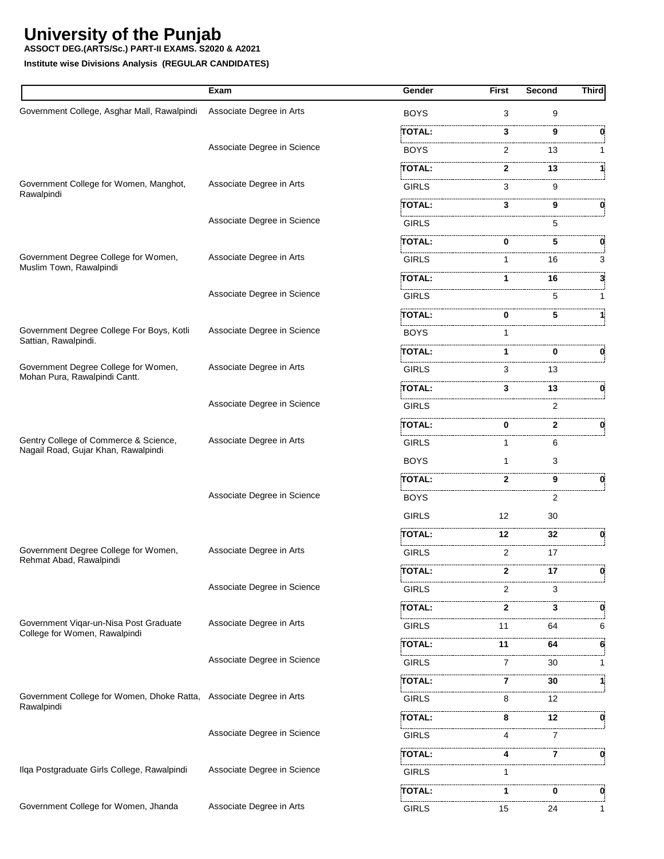**ASSOCT DEG.(ARTS/Sc.) PART-II EXAMS. S2020 & A2021**

|                                                                         | Exam                        | Gender            | <b>First</b>      | Second       | <b>Third</b> |
|-------------------------------------------------------------------------|-----------------------------|-------------------|-------------------|--------------|--------------|
| Government College, Asghar Mall, Rawalpindi                             | Associate Degree in Arts    | <b>BOYS</b>       | 3                 | 9            |              |
|                                                                         |                             | TOTAL:            | 3                 | 9            |              |
|                                                                         | Associate Degree in Science | <b>BOYS</b>       | 2                 | 13           |              |
|                                                                         |                             | TOTAL:            | 2                 | 13           |              |
| Government College for Women, Manghot,<br>Rawalpindi                    | Associate Degree in Arts    | <b>GIRLS</b>      | 3                 | 9            |              |
|                                                                         |                             | TOTAL:            | 3                 | 9            | 0            |
|                                                                         | Associate Degree in Science | <b>GIRLS</b>      |                   | 5            |              |
|                                                                         |                             | TOTAL:            | 0                 | 5            | 0            |
| Government Degree College for Women,<br>Muslim Town, Rawalpindi         | Associate Degree in Arts    | <b>GIRLS</b>      | 1                 | 16           | 3            |
|                                                                         |                             | TOTAL:            | 1                 | 16           |              |
|                                                                         | Associate Degree in Science | <b>GIRLS</b>      |                   | 5            |              |
|                                                                         |                             | TOTAL:            | 0                 | 5            |              |
| Government Degree College For Boys, Kotli                               | Associate Degree in Science | <b>BOYS</b>       |                   |              |              |
| Sattian, Rawalpindi.                                                    |                             | TOTAL:            | 1                 | 0            | 0            |
| Government Degree College for Women,                                    | Associate Degree in Arts    | <b>GIRLS</b>      | 3                 | 13           |              |
| Mohan Pura, Rawalpindi Cantt.                                           |                             | TOTAL:            | 3                 | 13           | 0            |
|                                                                         | Associate Degree in Science | <b>GIRLS</b>      |                   | 2            |              |
|                                                                         |                             | TOTAL:            | 0                 | $\mathbf{2}$ | 0            |
| Gentry College of Commerce & Science,                                   | Associate Degree in Arts    | <b>GIRLS</b>      | 1                 | 6            |              |
| Nagail Road, Gujar Khan, Rawalpindi                                     |                             | <b>BOYS</b>       | $\mathbf 1$       | 3            |              |
|                                                                         |                             | TOTAL:            | 2                 | 9            | 0            |
|                                                                         | Associate Degree in Science | <b>BOYS</b>       |                   | 2            |              |
|                                                                         |                             | <b>GIRLS</b>      | $12 \overline{ }$ | 30           |              |
|                                                                         |                             | TOTAL:            | 12                | 32           | 0            |
| Government Degree College for Women,<br>Rehmat Abad, Rawalpindi         | Associate Degree in Arts    | <b>GIRLS</b>      | $\overline{2}$    | 17           |              |
|                                                                         |                             | <b>TOTAL:</b>     | 2                 | 17           | 0            |
|                                                                         | Associate Degree in Science | GIRLS             | 2                 | 3            |              |
|                                                                         |                             | .<br>TOTAL:       | 2                 | 3            | 0            |
| Government Viqar-un-Nisa Post Graduate<br>College for Women, Rawalpindi | Associate Degree in Arts    | GIRLS             | 11                | 64           | 6            |
|                                                                         |                             | TOTAL:            | 11                | .<br>64      | 6            |
|                                                                         | Associate Degree in Science | <b>GIRLS</b>      | 7                 | 30           |              |
|                                                                         |                             | TOTAL:            | 7                 | 30           |              |
| Government College for Women, Dhoke Ratta, Associate Degree in Arts     |                             | .<br><b>GIRLS</b> | 8                 | 12           |              |
| Rawalpindi                                                              |                             | TOTAL:            | 8                 | 12           | 0            |
|                                                                         | Associate Degree in Science | <b>GIRLS</b>      | 4                 | 7            |              |
|                                                                         |                             | TOTAL:            |                   | <br>7        | 0            |
| Ilqa Postgraduate Girls College, Rawalpindi                             | Associate Degree in Science | GIRLS             |                   |              |              |
|                                                                         |                             | .<br>TOTAL:       | 1                 | 0            | 0            |
| Government College for Women, Jhanda                                    | Associate Degree in Arts    | <b>GIRLS</b>      | 15                | 24           |              |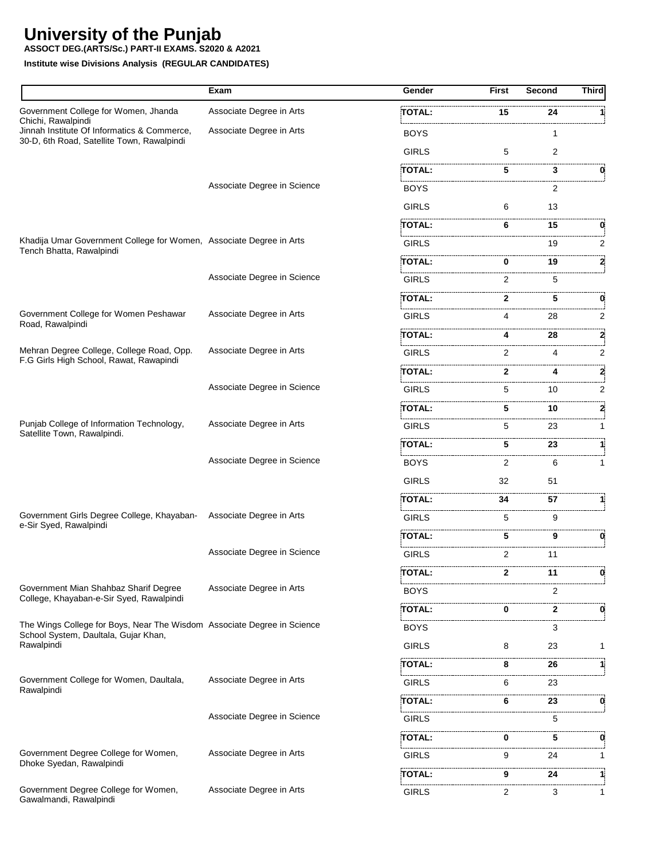**ASSOCT DEG.(ARTS/Sc.) PART-II EXAMS. S2020 & A2021**

|                                                                                                                 | Exam                        | Gender                              | <b>First</b>   | <b>Second</b>  | <b>Third</b> |
|-----------------------------------------------------------------------------------------------------------------|-----------------------------|-------------------------------------|----------------|----------------|--------------|
| Government College for Women, Jhanda                                                                            | Associate Degree in Arts    | <b>TOTAL:</b>                       | 15             | 24             |              |
| Chichi, Rawalpindi<br>Jinnah Institute Of Informatics & Commerce,<br>30-D, 6th Road, Satellite Town, Rawalpindi | Associate Degree in Arts    | <b>BOYS</b>                         |                | 1              |              |
|                                                                                                                 |                             | <b>GIRLS</b>                        | 5              | $\overline{2}$ |              |
|                                                                                                                 |                             | TOTAL:                              | 5              | 3              |              |
|                                                                                                                 | Associate Degree in Science | <b>BOYS</b>                         |                | 2              |              |
|                                                                                                                 |                             | <b>GIRLS</b>                        | 6              | 13             |              |
|                                                                                                                 |                             | <b>TOTAL:</b>                       | 6              | 15             |              |
| Khadija Umar Government College for Women, Associate Degree in Arts                                             |                             | the company of the company<br>GIRLS |                | 19             | 2            |
| Tench Bhatta, Rawalpindi                                                                                        |                             | TOTAL:                              | 0              | 19             | 2            |
|                                                                                                                 | Associate Degree in Science | <b>GIRLS</b>                        | 2              | 5              |              |
|                                                                                                                 |                             | TOTAL:                              | 2              | 5              | 0            |
| Government College for Women Peshawar                                                                           | Associate Degree in Arts    | <b>GIRLS</b>                        | 4              | 28             | 2            |
| Road, Rawalpindi                                                                                                |                             | TOTAL:                              | 4              | 28             | 2            |
| Mehran Degree College, College Road, Opp.                                                                       | Associate Degree in Arts    | <b>GIRLS</b>                        | 2              | 4              | 2            |
| F.G Girls High School, Rawat, Rawapindi                                                                         |                             | TOTAL:                              | 2              | 4              | 2            |
|                                                                                                                 | Associate Degree in Science | <b>GIRLS</b>                        | 5              | 10             | 2            |
|                                                                                                                 |                             | TOTAL:                              | 5              | 10             | 2            |
| Punjab College of Information Technology,<br>Satellite Town, Rawalpindi.                                        | Associate Degree in Arts    | <b>GIRLS</b>                        | 5              | 23             | 1            |
|                                                                                                                 |                             | .<br><b>TOTAL:</b>                  | .<br>5         | 23             | 1            |
|                                                                                                                 | Associate Degree in Science | .<br><b>BOYS</b>                    | 2              | 6              | 1            |
|                                                                                                                 |                             | <b>GIRLS</b>                        | 32             | 51             |              |
|                                                                                                                 |                             | TOTAL:                              | 34             | 57             |              |
| Government Girls Degree College, Khayaban-<br>e-Sir Syed, Rawalpindi                                            | Associate Degree in Arts    | <b>GIRLS</b>                        | 5              | 9              |              |
|                                                                                                                 |                             | .<br>TOTAL:                         | 5              | 9              | 0            |
|                                                                                                                 | Associate Degree in Science | <b>GIRLS</b>                        | 2              | 11             |              |
|                                                                                                                 |                             | <b>TOTAL:</b>                       | $\mathbf{2}$   | 11             | 0            |
| Government Mian Shahbaz Sharif Degree                                                                           | Associate Degree in Arts    | <b>BOYS</b>                         |                | 2              |              |
| College, Khayaban-e-Sir Syed, Rawalpindi                                                                        |                             | <b>TOTAL:</b>                       | 0              | $\mathbf{2}$   | 0            |
| The Wings College for Boys, Near The Wisdom Associate Degree in Science                                         |                             | <b>BOYS</b>                         |                | 3              |              |
| School System, Daultala, Gujar Khan,<br>Rawalpindi                                                              |                             | <b>GIRLS</b>                        | 8              | 23             | 1            |
|                                                                                                                 |                             | TOTAL:                              | 8              | 26             | 11           |
| Government College for Women, Daultala,                                                                         | Associate Degree in Arts    | <b>GIRLS</b>                        | 6              | 23             |              |
| Rawalpindi                                                                                                      |                             | TOTAL:                              | 6              | 23             | 0            |
|                                                                                                                 | Associate Degree in Science | <b>GIRLS</b>                        |                | 5              |              |
|                                                                                                                 |                             | TOTAL:                              | 0              | 5              | 0            |
| Government Degree College for Women,<br>Dhoke Syedan, Rawalpindi                                                | Associate Degree in Arts    | <b>GIRLS</b>                        | 9              | 24             | $\mathbf{1}$ |
|                                                                                                                 |                             | TOTAL:                              | 9.             | 24             | 11           |
| Government Degree College for Women,<br>Gawalmandi, Rawalpindi                                                  | Associate Degree in Arts    | <b>GIRLS</b>                        | $\overline{2}$ | 3              | 1            |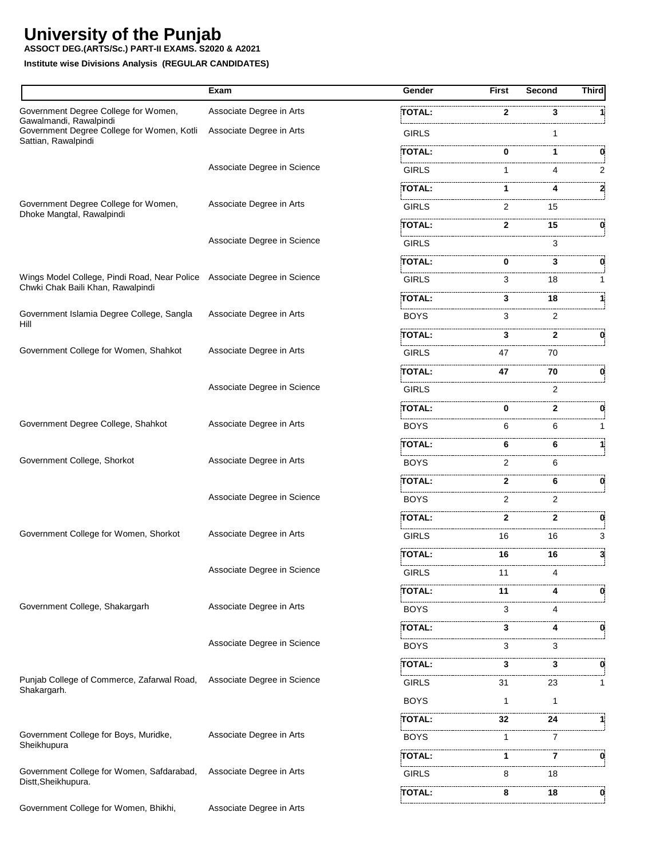**ASSOCT DEG.(ARTS/Sc.) PART-II EXAMS. S2020 & A2021**

|                                                                          | Exam                        | Gender        | <b>First</b> | Second  | Third |
|--------------------------------------------------------------------------|-----------------------------|---------------|--------------|---------|-------|
| Government Degree College for Women,                                     | Associate Degree in Arts    | TOTAL:        | 2            | 3       |       |
| Gawalmandi, Rawalpindi<br>Government Degree College for Women, Kotli     | Associate Degree in Arts    | <b>GIRLS</b>  |              | 1       |       |
| Sattian, Rawalpindi                                                      |                             | TOTAL:        |              | 1       |       |
|                                                                          | Associate Degree in Science | <b>GIRLS</b>  | 1            | 4       | 2     |
|                                                                          |                             | TOTAL:        | 1            |         | 2     |
| Government Degree College for Women,<br>Dhoke Mangtal, Rawalpindi        | Associate Degree in Arts    | <b>GIRLS</b>  | 2            | 15      |       |
|                                                                          |                             | TOTAL:        | 2            | 15      | 0     |
|                                                                          | Associate Degree in Science | <b>GIRLS</b>  |              | 3       |       |
|                                                                          |                             | TOTAL:        | 0            | 3       | 0.    |
| Wings Model College, Pindi Road, Near Police Associate Degree in Science |                             | <b>GIRLS</b>  | 3            | 18      | 1     |
| Chwki Chak Baili Khan, Rawalpindi                                        |                             | TOTAL:        | 3            | 18      | 1     |
| Government Islamia Degree College, Sangla                                | Associate Degree in Arts    | <b>BOYS</b>   | 3            | 2       |       |
| Hill                                                                     |                             | TOTAL:        | 3            | 2       | 0     |
| Government College for Women, Shahkot                                    | Associate Degree in Arts    | <b>GIRLS</b>  | 47           | 70      |       |
|                                                                          |                             | TOTAL:        | 47           | 70      | 0     |
|                                                                          | Associate Degree in Science | <b>GIRLS</b>  |              | 2       |       |
|                                                                          |                             | <b>TOTAL:</b> | 0            | 2       | 0.    |
| Government Degree College, Shahkot                                       | Associate Degree in Arts    | <b>BOYS</b>   | 6            | 6       |       |
|                                                                          |                             | TOTAL:        | 6            | 6       |       |
| Government College, Shorkot                                              | Associate Degree in Arts    | <b>BOYS</b>   | 2            | 6       |       |
|                                                                          |                             | TOTAL:        | 2            | 6       | 0     |
|                                                                          | Associate Degree in Science | <b>BOYS</b>   | 2            | 2       |       |
|                                                                          |                             | TOTAL:        | 2            | 2       | 0     |
| Government College for Women, Shorkot                                    | Associate Degree in Arts    | <b>GIRLS</b>  | 16           | 16      | 3     |
|                                                                          |                             | TOTAL:        | 16           | 16      | 3     |
|                                                                          | Associate Degree in Science | <b>GIRLS</b>  | 11           | 4       |       |
|                                                                          |                             | TOTAL:        | 11           |         |       |
| Government College, Shakargarh                                           | Associate Degree in Arts    | <b>BOYS</b>   | 3            | 4       |       |
|                                                                          |                             | TOTAL:        | 3            | 4       | 0     |
|                                                                          | Associate Degree in Science | <b>BOYS</b>   | 3            | 3       |       |
|                                                                          |                             | TOTAL:        | 3            | 3       | 0     |
| Punjab College of Commerce, Zafarwal Road,<br>Shakargarh.                | Associate Degree in Science | <b>GIRLS</b>  | 31           | 23      | 1     |
|                                                                          |                             | <b>BOYS</b>   | 1            | 1       |       |
|                                                                          |                             | TOTAL:        | 32           | .<br>24 | 1     |
| Government College for Boys, Muridke,                                    | Associate Degree in Arts    | <b>BOYS</b>   | 1            | 7       |       |
| Sheikhupura                                                              |                             | <b>TOTAL:</b> | 1            | 7       | 0     |
| Government College for Women, Safdarabad,                                | Associate Degree in Arts    | <b>GIRLS</b>  | 8            | 18      |       |
| Distt, Sheikhupura.                                                      |                             | <b>TOTAL:</b> | 8            | 18      | 0     |
| Government College for Women, Bhikhi,                                    | Associate Degree in Arts    |               |              |         |       |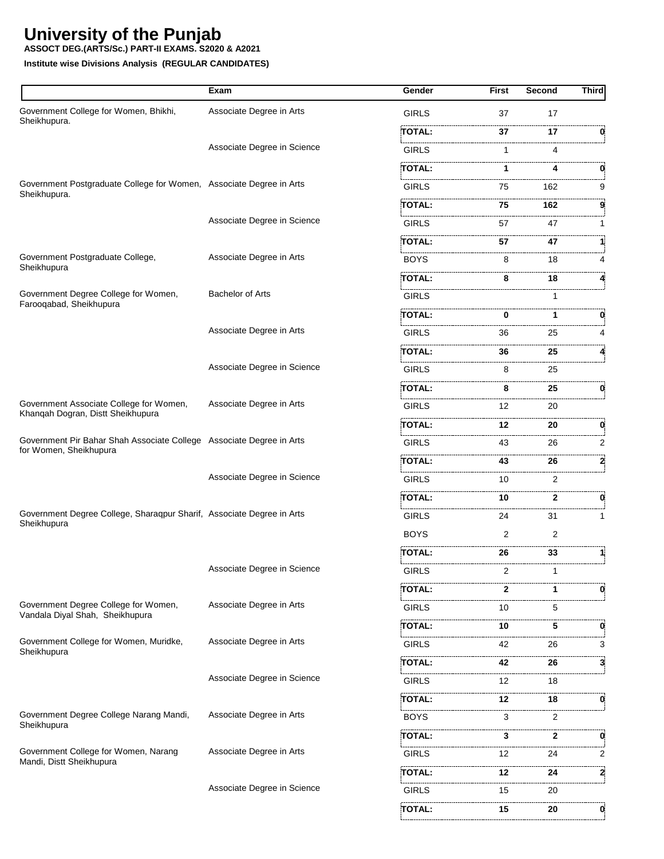**ASSOCT DEG.(ARTS/Sc.) PART-II EXAMS. S2020 & A2021**

|                                                                                                | Exam                        | Gender        | First | Second       | <b>Third</b> |
|------------------------------------------------------------------------------------------------|-----------------------------|---------------|-------|--------------|--------------|
| Government College for Women, Bhikhi,                                                          | Associate Degree in Arts    | <b>GIRLS</b>  | 37    | 17           |              |
| Sheikhupura.                                                                                   |                             | TOTAL:        | 37    | 17           | 0            |
|                                                                                                | Associate Degree in Science | <b>GIRLS</b>  | 1     | 4            |              |
|                                                                                                |                             | TOTAL:        | 1     | 4            | 0            |
| Government Postgraduate College for Women, Associate Degree in Arts                            |                             | <b>GIRLS</b>  | 75    | 162          | 9            |
| Sheikhupura.                                                                                   |                             | TOTAL:        | 75    | 162          |              |
|                                                                                                | Associate Degree in Science | <b>GIRLS</b>  | 57    | 47           |              |
|                                                                                                |                             | <b>TOTAL:</b> | 57    | 47           |              |
| Government Postgraduate College,                                                               | Associate Degree in Arts    | <b>BOYS</b>   | 8     | 18           |              |
| Sheikhupura                                                                                    |                             | TOTAL:        | 8     | 18           |              |
| Government Degree College for Women,<br>Farooqabad, Sheikhupura                                | <b>Bachelor of Arts</b>     | <b>GIRLS</b>  |       | 1            |              |
|                                                                                                |                             | <b>TOTAL:</b> | 0     | 1            | 0            |
|                                                                                                | Associate Degree in Arts    | <b>GIRLS</b>  | 36    | 25           |              |
|                                                                                                |                             | TOTAL:        | 36    | 25           |              |
|                                                                                                | Associate Degree in Science | <b>GIRLS</b>  | 8     | 25           |              |
|                                                                                                |                             | TOTAL:        | 8     | 25           | 0            |
| Government Associate College for Women,                                                        | Associate Degree in Arts    | <b>GIRLS</b>  | 12    | 20           |              |
| Khanqah Dogran, Distt Sheikhupura                                                              |                             | TOTAL:        | 12    | 20           | 0            |
| Government Pir Bahar Shah Associate College Associate Degree in Arts<br>for Women, Sheikhupura |                             | <b>GIRLS</b>  | 43    | 26           | 2            |
|                                                                                                |                             | <b>TOTAL:</b> | 43    | 26           | 2            |
|                                                                                                | Associate Degree in Science | <b>GIRLS</b>  | 10    | 2            |              |
|                                                                                                |                             | TOTAL:        | 10    | $\mathbf{2}$ | 0            |
| Government Degree College, Sharaqpur Sharif, Associate Degree in Arts                          |                             | GIRLS         | 24    | 31           | 1            |
| Sheikhupura                                                                                    |                             | <b>BOYS</b>   | 2     | 2            |              |
|                                                                                                |                             | <b>TOTAL:</b> | 26    | 33           |              |
|                                                                                                | Associate Degree in Science | GIRLS         |       |              |              |
|                                                                                                |                             | TOTAL:        | 2     | 1            | 0            |
| Government Degree College for Women,<br>Vandala Diyal Shah, Sheikhupura                        | Associate Degree in Arts    | <b>GIRLS</b>  | 10    | 5            |              |
|                                                                                                |                             | TOTAL:        | 10    | 5            | 0            |
| Government College for Women, Muridke,                                                         | Associate Degree in Arts    | <b>GIRLS</b>  | 42    | 26           | 3            |
| Sheikhupura                                                                                    |                             | <b>TOTAL:</b> | 42    | 26           | 3            |
|                                                                                                | Associate Degree in Science | <b>GIRLS</b>  | 12    | 18           |              |
|                                                                                                |                             | TOTAL:        | 12    | 18           | 0            |
| Government Degree College Narang Mandi,                                                        | Associate Degree in Arts    | <b>BOYS</b>   | 3     | 2            |              |
| Sheikhupura                                                                                    |                             | TOTAL:        | 3     | 2            | 0            |
| Government College for Women, Narang                                                           | Associate Degree in Arts    | <b>GIRLS</b>  | 12    | 24           | 2            |
| Mandi, Distt Sheikhupura                                                                       |                             | TOTAL:        | 12    | 24           | 2            |
|                                                                                                | Associate Degree in Science | <b>GIRLS</b>  | 15    | 20           |              |
|                                                                                                |                             | <b>TOTAL:</b> | 15    | 20           | O.           |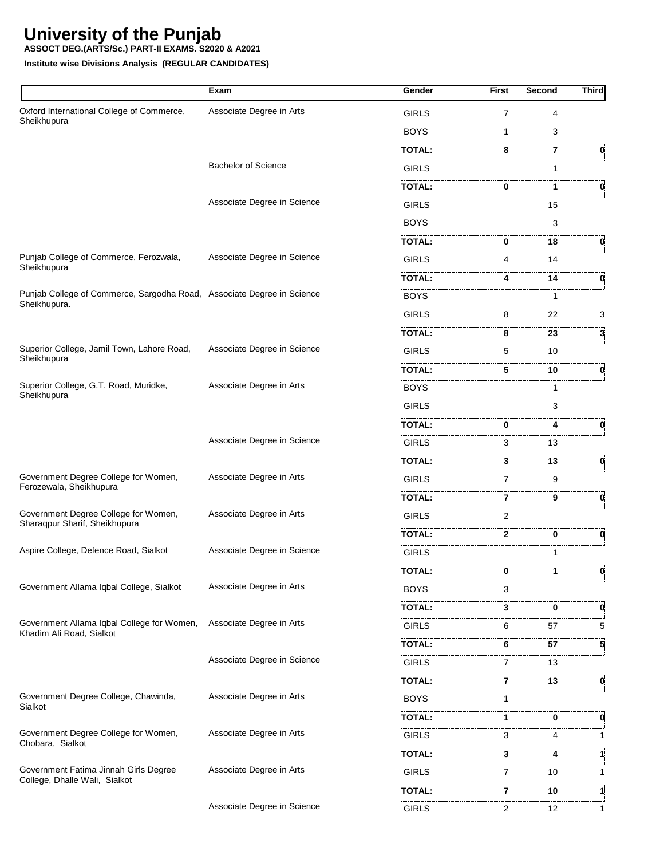**ASSOCT DEG.(ARTS/Sc.) PART-II EXAMS. S2020 & A2021**

|                                                                                        | Exam                        | Gender            | <b>First</b> | Second | <b>Third</b> |
|----------------------------------------------------------------------------------------|-----------------------------|-------------------|--------------|--------|--------------|
| Oxford International College of Commerce,<br>Sheikhupura                               | Associate Degree in Arts    | <b>GIRLS</b>      | 7            | 4      |              |
|                                                                                        |                             | <b>BOYS</b>       | 1            | 3      |              |
|                                                                                        |                             | TOTAL:            | 8            | 7      | 0            |
|                                                                                        | <b>Bachelor of Science</b>  | <b>GIRLS</b>      |              |        |              |
|                                                                                        |                             | <br><b>TOTAL:</b> | 0            | 1      | 0            |
|                                                                                        | Associate Degree in Science | <b>GIRLS</b>      |              | 15     |              |
|                                                                                        |                             | <b>BOYS</b>       |              | 3      |              |
|                                                                                        |                             | TOTAL:            | 0            | 18     | 0            |
| Punjab College of Commerce, Ferozwala,<br>Sheikhupura                                  | Associate Degree in Science | <b>GIRLS</b>      | 4            | 14     |              |
|                                                                                        |                             | TOTAL:            | 4            | 14     | 0            |
| Punjab College of Commerce, Sargodha Road, Associate Degree in Science<br>Sheikhupura. |                             | <b>BOYS</b>       |              | 1      |              |
|                                                                                        |                             | <b>GIRLS</b>      | 8            | 22     | 3            |
|                                                                                        |                             | TOTAL:            | 8            | 23     | 3            |
| Superior College, Jamil Town, Lahore Road,<br>Sheikhupura                              | Associate Degree in Science | <b>GIRLS</b>      | 5            | 10     |              |
|                                                                                        |                             | TOTAL:            | 5            | 10     | 0            |
| Superior College, G.T. Road, Muridke,<br>Sheikhupura                                   | Associate Degree in Arts    | <b>BOYS</b>       |              | 1      |              |
|                                                                                        |                             | <b>GIRLS</b>      |              | 3      |              |
|                                                                                        |                             | TOTAL:            | 0            | 4      | 0            |
|                                                                                        | Associate Degree in Science | <b>GIRLS</b>      | 3            | 13     |              |
|                                                                                        |                             | <b>TOTAL:</b>     | 3            | 13     | 0            |
| Government Degree College for Women,<br>Ferozewala, Sheikhupura                        | Associate Degree in Arts    | <b>GIRLS</b>      | 7            | 9      |              |
|                                                                                        |                             | TOTAL:            | 7            | 9      | 0            |
| Government Degree College for Women,<br>Sharaqpur Sharif, Sheikhupura                  | Associate Degree in Arts    | <b>GIRLS</b>      | 2            |        |              |
|                                                                                        |                             | <b>TOTAL:</b>     | $\mathbf{2}$ | 0      | 0            |
| Aspire College, Defence Road, Sialkot                                                  | Associate Degree in Science | <b>GIRLS</b>      |              | 1      |              |
|                                                                                        |                             | <b>TOTAL:</b>     | 0            |        | 0            |
| Government Allama Iqbal College, Sialkot                                               | Associate Degree in Arts    | <b>BOYS</b>       | з            |        |              |
|                                                                                        |                             | TOTAL:            | 3            | 0      | 0            |
| Government Allama Iqbal College for Women,<br>Khadim Ali Road, Sialkot                 | Associate Degree in Arts    | <b>GIRLS</b>      | 6            | 57     | 5            |
|                                                                                        |                             | TOTAL:            | 6            | 57     | 5            |
|                                                                                        | Associate Degree in Science | <b>GIRLS</b>      | 7            | 13     |              |
|                                                                                        |                             | TOTAL:            | 7            | 13     | 0            |
| Government Degree College, Chawinda,<br>Sialkot                                        | Associate Degree in Arts    | <b>BOYS</b>       | 1            |        |              |
|                                                                                        |                             | TOTAL:            | 1            | 0      | 0            |
| Government Degree College for Women,<br>Chobara, Sialkot                               | Associate Degree in Arts    | <b>GIRLS</b>      | 3            | 4      | 1            |
|                                                                                        |                             | TOTAL:            | 3            | 4      |              |
| Government Fatima Jinnah Girls Degree<br>College, Dhalle Wali, Sialkot                 | Associate Degree in Arts    | GIRLS             | 7            | 10     |              |
|                                                                                        |                             | .<br>TOTAL:       | 7            | 10     | 11           |
|                                                                                        | Associate Degree in Science | <b>GIRLS</b>      | 2            | 12     | 1            |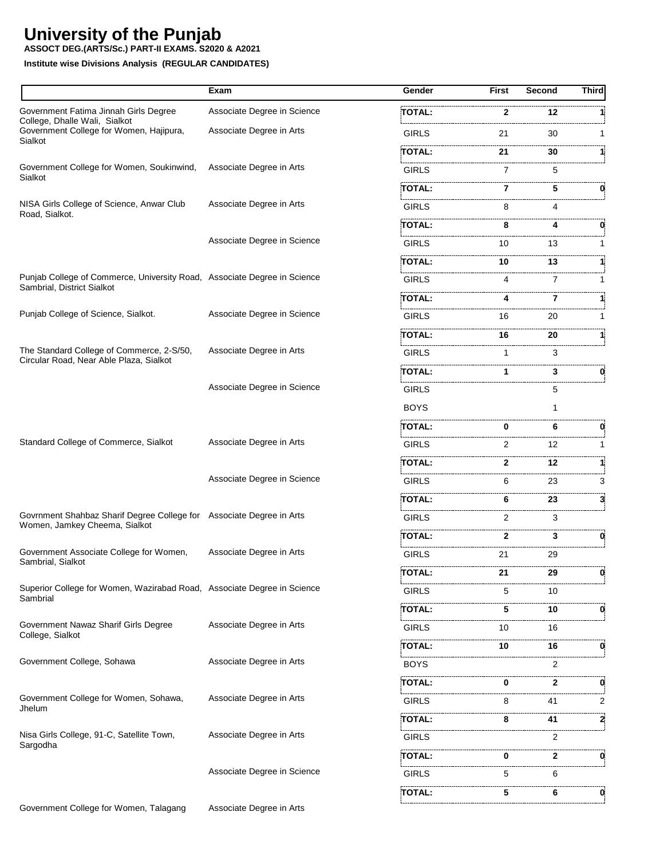**ASSOCT DEG.(ARTS/Sc.) PART-II EXAMS. S2020 & A2021**

|                                                                                                       | Exam                        | Gender        | <b>First</b>   | Second | <b>Third</b> |
|-------------------------------------------------------------------------------------------------------|-----------------------------|---------------|----------------|--------|--------------|
| Government Fatima Jinnah Girls Degree                                                                 | Associate Degree in Science | <b>TOTAL:</b> | $\mathbf{2}$   | 12     |              |
| College, Dhalle Wali, Sialkot<br>Government College for Women, Hajipura,                              | Associate Degree in Arts    | <b>GIRLS</b>  | 21             | 30     |              |
| Sialkot                                                                                               |                             | TOTAL:        | 21             | 30     |              |
| Government College for Women, Soukinwind,                                                             | Associate Degree in Arts    | <b>GIRLS</b>  | $\overline{7}$ | 5      |              |
| Sialkot                                                                                               |                             | TOTAL:        | 7              | 5      | 0            |
| NISA Girls College of Science, Anwar Club                                                             | Associate Degree in Arts    | <b>GIRLS</b>  | 8              | 4      |              |
| Road, Sialkot.                                                                                        |                             | <b>TOTAL:</b> | 8              | 4      | 0            |
|                                                                                                       | Associate Degree in Science | <b>GIRLS</b>  | 10             | 13     |              |
|                                                                                                       |                             | TOTAL:        | 10             | 13     |              |
| Punjab College of Commerce, University Road, Associate Degree in Science                              |                             | <b>GIRLS</b>  | 4              | 7      | 1            |
| Sambrial, District Sialkot                                                                            |                             | TOTAL:        | 4              | 7      |              |
| Punjab College of Science, Sialkot.                                                                   | Associate Degree in Science | <b>GIRLS</b>  | 16             | 20     |              |
|                                                                                                       |                             | TOTAL:        | 16             | 20     |              |
| The Standard College of Commerce, 2-S/50,                                                             | Associate Degree in Arts    | <b>GIRLS</b>  | $\mathbf{1}$   | 3      |              |
| Circular Road, Near Able Plaza, Sialkot                                                               |                             | TOTAL:        | 1              | 3      | 0            |
|                                                                                                       | Associate Degree in Science | <b>GIRLS</b>  |                | 5      |              |
|                                                                                                       |                             | <b>BOYS</b>   |                |        |              |
|                                                                                                       |                             | TOTAL:        | 0              | 6      | 0            |
| Standard College of Commerce, Sialkot                                                                 | Associate Degree in Arts    | <b>GIRLS</b>  | 2              | 12     |              |
|                                                                                                       |                             | <b>TOTAL:</b> | 2              | 12     |              |
|                                                                                                       | Associate Degree in Science | <b>GIRLS</b>  | 6              | 23     | 3            |
|                                                                                                       |                             | TOTAL:        | 6              | 23     | 3            |
| Govrnment Shahbaz Sharif Degree College for Associate Degree in Arts<br>Women, Jamkey Cheema, Sialkot |                             | <b>GIRLS</b>  | 2              | 3      |              |
|                                                                                                       |                             | TOTAL:        | 2              | 3      | 0            |
| Government Associate College for Women,<br>Sambrial, Sialkot                                          | Associate Degree in Arts    | <b>GIRLS</b>  | 21             | 29     |              |
|                                                                                                       |                             | <b>TOTAL:</b> | 21             | 29     | 0            |
| Superior College for Women, Wazirabad Road, Associate Degree in Science<br>Sambrial                   |                             | <b>GIRLS</b>  | 5              | 10     |              |
|                                                                                                       |                             | <b>TOTAL:</b> | 5              | 10     | 0            |
| Government Nawaz Sharif Girls Degree<br>College, Sialkot                                              | Associate Degree in Arts    | <b>GIRLS</b>  | 10             | 16     |              |
|                                                                                                       |                             | TOTAL:        | 10             | 16     | 0            |
| Government College, Sohawa                                                                            | Associate Degree in Arts    | <b>BOYS</b>   |                | 2      |              |
|                                                                                                       |                             | TOTAL:        | 0              | 2      | 0            |
| Government College for Women, Sohawa,                                                                 | Associate Degree in Arts    | <b>GIRLS</b>  | 8              | 41     | 2            |
| Jhelum                                                                                                |                             | TOTAL:        | 8              | 41     | 2            |
| Nisa Girls College, 91-C, Satellite Town,<br>Sargodha                                                 | Associate Degree in Arts    | <b>GIRLS</b>  |                | 2      |              |
|                                                                                                       |                             | TOTAL:        | 0              | 2      | 0            |
|                                                                                                       | Associate Degree in Science | <b>GIRLS</b>  | 5              | 6      |              |
|                                                                                                       |                             | TOTAL:        | 5              | 6      | 0            |
| Government College for Women, Talagang                                                                | Associate Degree in Arts    |               |                |        |              |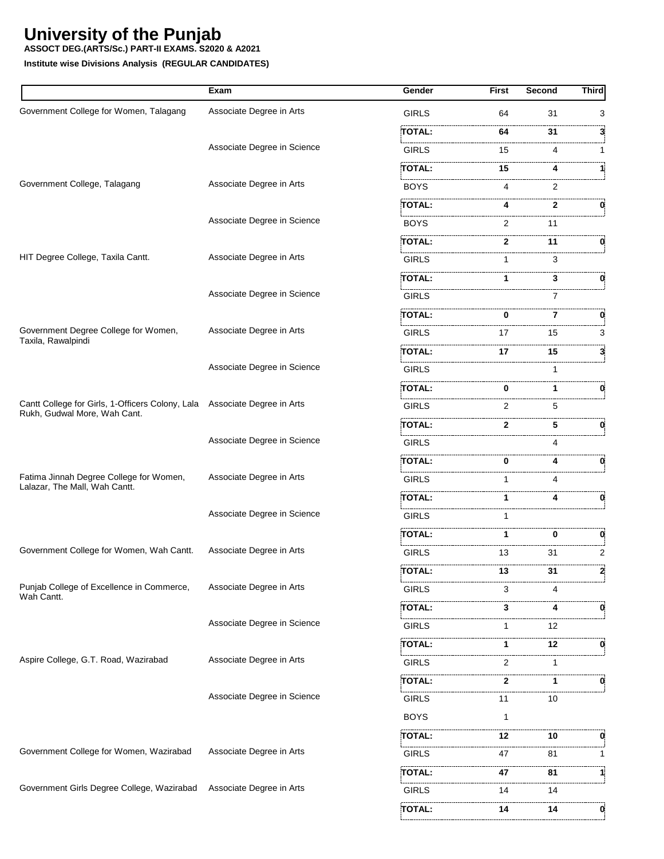**ASSOCT DEG.(ARTS/Sc.) PART-II EXAMS. S2020 & A2021**

|                                                                           | Exam                        | Gender        | <b>First</b>   | Second | <b>Third</b> |
|---------------------------------------------------------------------------|-----------------------------|---------------|----------------|--------|--------------|
| Government College for Women, Talagang                                    | Associate Degree in Arts    | <b>GIRLS</b>  | 64             | 31     | 3            |
|                                                                           |                             | TOTAL:        | 64             | 31     | 3            |
|                                                                           | Associate Degree in Science | <b>GIRLS</b>  | 15             | 4      | 1            |
|                                                                           |                             | TOTAL:        | 15             |        | 1            |
| Government College, Talagang                                              | Associate Degree in Arts    | <b>BOYS</b>   | 4              | 2      |              |
|                                                                           |                             | TOTAL:        |                | 2      | 0            |
|                                                                           | Associate Degree in Science | <b>BOYS</b>   | $\overline{2}$ | 11     |              |
|                                                                           |                             | TOTAL:        | 2.             | 11     | 0            |
| HIT Degree College, Taxila Cantt.                                         | Associate Degree in Arts    | <b>GIRLS</b>  | 1              | 3      |              |
|                                                                           |                             | <b>TOTAL:</b> |                | 3      |              |
|                                                                           | Associate Degree in Science | <b>GIRLS</b>  |                | 7      |              |
|                                                                           |                             | TOTAL:        | 0              | 7      | 0            |
| Government Degree College for Women,                                      | Associate Degree in Arts    | <b>GIRLS</b>  | 17             | 15     | 3            |
| Taxila, Rawalpindi                                                        |                             | TOTAL:        | 17             | 15     | 3.           |
|                                                                           | Associate Degree in Science | <b>GIRLS</b>  |                |        |              |
|                                                                           |                             | TOTAL:        | 0              | 1      | 0            |
| Cantt College for Girls, 1-Officers Colony, Lala Associate Degree in Arts |                             | GIRLS         | 2              | 5      |              |
| Rukh, Gudwal More, Wah Cant.                                              |                             | TOTAL:        | $\mathbf{2}$   | 5      | 0            |
|                                                                           | Associate Degree in Science | <b>GIRLS</b>  |                | 4      |              |
|                                                                           |                             | <b>TOTAL:</b> | 0              |        |              |
| Fatima Jinnah Degree College for Women,                                   | Associate Degree in Arts    | <b>GIRLS</b>  |                | Δ      |              |
| Lalazar, The Mall, Wah Cantt.                                             |                             | TOTAL:        | 1              |        | 0            |
|                                                                           | Associate Degree in Science | <b>GIRLS</b>  |                |        |              |
|                                                                           |                             | TOTAL:        | 1              | 0      | 0            |
| Government College for Women, Wah Cantt.                                  | Associate Degree in Arts    | <b>GIRLS</b>  | 13             | 31     | 2            |
|                                                                           |                             | <b>TOTAL:</b> | 13             | 31     |              |
| Punjab College of Excellence in Commerce,                                 | Associate Degree in Arts    | GIRLS         | 3              | 4      |              |
| Wah Cantt.                                                                |                             | TOTAL:        | 3              | 4      | 0            |
|                                                                           | Associate Degree in Science | GIRLS         | 1              | 12     |              |
|                                                                           |                             | TOTAL:        | 1              | 12     | 0            |
| Aspire College, G.T. Road, Wazirabad                                      | Associate Degree in Arts    | <b>GIRLS</b>  | 2              | 1      |              |
|                                                                           |                             | :TOTAL:       | 2              | 1      | 0            |
|                                                                           | Associate Degree in Science | GIRLS         | 11             | 10     |              |
|                                                                           |                             | <b>BOYS</b>   | 1              |        |              |
|                                                                           |                             | TOTAL:        | 12             | 10     | 0            |
| Government College for Women, Wazirabad                                   | Associate Degree in Arts    | <b>GIRLS</b>  | 47             | 81     | 1            |
|                                                                           |                             | :TOTAL:       | 47             | 81     | 1            |
| Government Girls Degree College, Wazirabad                                | Associate Degree in Arts    | <b>GIRLS</b>  | 14             | 14     |              |
|                                                                           |                             | TOTAL:        | 14             | 14     | 0            |